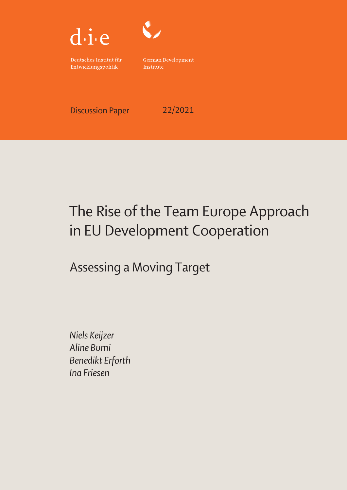



Deutsches Institut für Entwicklungspolitik

German Development Institute

Discussion Paper 22/2021

# The Rise of the Team Europe Approach in EU Development Cooperation

Assessing a Moving Target

Niels Keijzer Aline Burni Benedikt Erforth Ina Friesen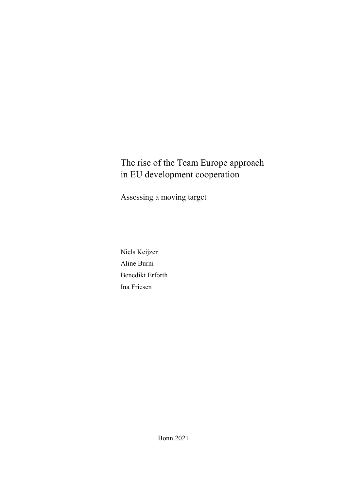## The rise of the Team Europe approach in EU development cooperation

Assessing a moving target

Niels Keijzer Aline Burni Benedikt Erforth Ina Friesen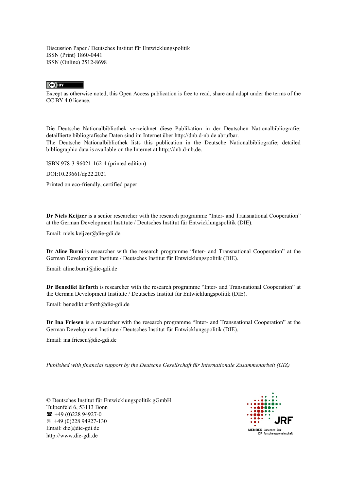Discussion Paper / Deutsches Institut für Entwicklungspolitik ISSN (Print) 1860-0441 ISSN (Online) 2512-8698

#### $\overline{c}$   $\overline{c}$

Except as otherwise noted, this Open Access publication is free to read, share and adapt under the terms of the CC BY 4.0 license.

Die Deutsche Nationalbibliothek verzeichnet diese Publikation in der Deutschen Nationalbibliografie; detaillierte bibliografische Daten sind im Internet über http://dnb.d-nb.de abrufbar. The Deutsche Nationalbibliothek lists this publication in the Deutsche Nationalbibliografie; detailed bibliographic data is available on the Internet at http://dnb.d-nb.de.

ISBN 978-3-96021-162-4 (printed edition)

DOI:10.23661/dp22.2021

Printed on eco-friendly, certified paper

**Dr Niels Keijzer** is a senior researcher with the research programme "Inter- [and Transnational Cooperation"](https://www.die-gdi.de/en/inter-and-transnational-cooperation/) at the German Development Institute / Deutsches Institut für Entwicklungspolitik (DIE).

Email: [niels.keijzer@die-gdi.de](mailto:joern.graevingholt@die-gdi.de)

**Dr Aline Burni** is researcher with the research programme "Inter- [and Transnational Cooperation"](https://www.die-gdi.de/en/inter-and-transnational-cooperation/) at the German Development Institute / Deutsches Institut für Entwicklungspolitik (DIE).

Email: aline.burni@die-gdi.de

**Dr Benedikt Erforth** is researcher with the research programme "Inter- [and Transnational Cooperation"](https://www.die-gdi.de/en/inter-and-transnational-cooperation/) at the German Development Institute / Deutsches Institut für Entwicklungspolitik (DIE).

Email: benedikt.erforth@die-gdi.de

**Dr Ina Friesen** is a researcher with the research programme "Inter- [and Transnational Cooperation"](https://www.die-gdi.de/en/inter-and-transnational-cooperation/) at the German Development Institute / Deutsches Institut für Entwicklungspolitik (DIE).

Email: ina.friesen@die-gdi.de

*Published with financial support by the Deutsche Gesellschaft für Internationale Zusammenarbeit (GIZ)*

© Deutsches Institut für Entwicklungspolitik gGmbH Tulpenfeld 6, 53113 Bonn  $\bullet$  +49 (0) 228 94927-0 +49 (0)228 94927-130 Email: die@die-gdi.de http://www.die-gdi.de

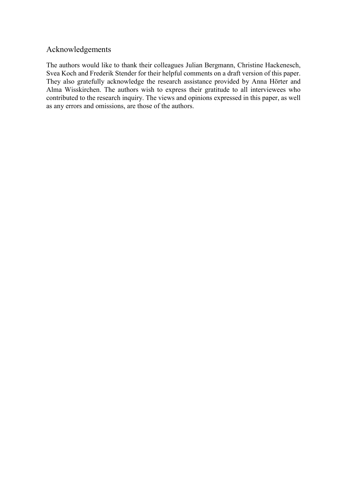#### <span id="page-3-0"></span>Acknowledgements

The authors would like to thank their colleagues Julian Bergmann, Christine Hackenesch, Svea Koch and Frederik Stender for their helpful comments on a draft version of this paper. They also gratefully acknowledge the research assistance provided by Anna Hörter and Alma Wisskirchen. The authors wish to express their gratitude to all interviewees who contributed to the research inquiry. The views and opinions expressed in this paper, as well as any errors and omissions, are those of the authors.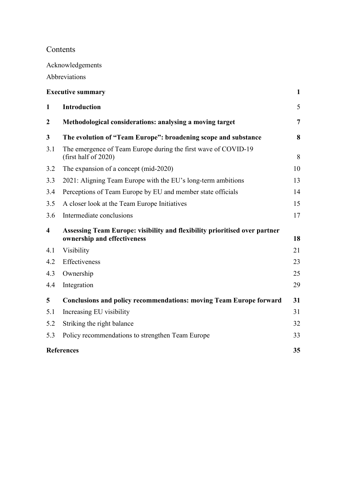## Contents

[Acknowledgements](#page-3-0)

[Abbreviations](#page-4-0)

<span id="page-4-0"></span>

| <b>Executive summary</b> |                                                                                                           |                |  |
|--------------------------|-----------------------------------------------------------------------------------------------------------|----------------|--|
| $\mathbf{1}$             | <b>Introduction</b>                                                                                       | 5              |  |
| $\boldsymbol{2}$         | Methodological considerations: analysing a moving target                                                  | $\overline{7}$ |  |
| 3                        | The evolution of "Team Europe": broadening scope and substance                                            | 8              |  |
| 3.1                      | The emergence of Team Europe during the first wave of COVID-19<br>(first half of 2020)                    | 8              |  |
| 3.2                      | The expansion of a concept (mid-2020)                                                                     | 10             |  |
| 3.3                      | 2021: Aligning Team Europe with the EU's long-term ambitions                                              | 13             |  |
| 3.4                      | Perceptions of Team Europe by EU and member state officials                                               | 14             |  |
| 3.5                      | A closer look at the Team Europe Initiatives                                                              | 15             |  |
| 3.6                      | Intermediate conclusions                                                                                  | 17             |  |
| 4                        | Assessing Team Europe: visibility and flexibility prioritised over partner<br>ownership and effectiveness |                |  |
| 4.1                      | Visibility                                                                                                | 21             |  |
| 4.2                      | Effectiveness                                                                                             | 23             |  |
| 4.3                      | Ownership                                                                                                 | 25             |  |
| 4.4                      | Integration                                                                                               | 29             |  |
| 5                        | <b>Conclusions and policy recommendations: moving Team Europe forward</b>                                 | 31             |  |
| 5.1                      | Increasing EU visibility                                                                                  | 31             |  |
| 5.2                      | Striking the right balance                                                                                | 32             |  |
| 5.3                      | Policy recommendations to strengthen Team Europe                                                          | 33             |  |
|                          | <b>References</b>                                                                                         |                |  |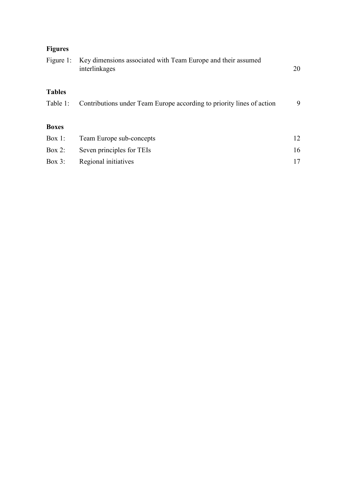## **Figures**

| Figure 1:     | Key dimensions associated with Team Europe and their assumed<br>interlinkages | 20 |
|---------------|-------------------------------------------------------------------------------|----|
| <b>Tables</b> |                                                                               |    |
| Table 1:      | Contributions under Team Europe according to priority lines of action         | 9  |
|               |                                                                               |    |
| <b>Boxes</b>  |                                                                               |    |
| Box 1:        | Team Europe sub-concepts                                                      | 12 |
| Box 2:        | Seven principles for TEIs                                                     | 16 |
| Box $3$ :     | Regional initiatives                                                          | 17 |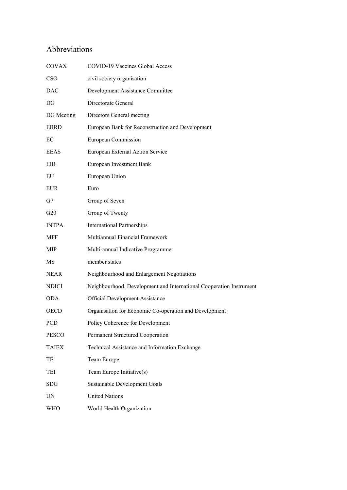## Abbreviations

| <b>COVAX</b>             | COVID-19 Vaccines Global Access                                     |
|--------------------------|---------------------------------------------------------------------|
| CSO                      | civil society organisation                                          |
| DAC                      | Development Assistance Committee                                    |
| $\overline{\mathrm{DG}}$ | Directorate General                                                 |
| DG Meeting               | Directors General meeting                                           |
| EBRD                     | European Bank for Reconstruction and Development                    |
| EC                       | European Commission                                                 |
| EEAS                     | European External Action Service                                    |
| EIB                      | European Investment Bank                                            |
| EU                       | European Union                                                      |
| <b>EUR</b>               | Euro                                                                |
| G7                       | Group of Seven                                                      |
| G20                      | Group of Twenty                                                     |
| <b>INTPA</b>             | <b>International Partnerships</b>                                   |
| <b>MFF</b>               | Multiannual Financial Framework                                     |
| MIP                      | Multi-annual Indicative Programme                                   |
| MS                       | member states                                                       |
| NEAR                     | Neighbourhood and Enlargement Negotiations                          |
| NDICI                    | Neighbourhood, Development and International Cooperation Instrument |
| <b>ODA</b>               | Official Development Assistance                                     |
| <b>OECD</b>              | Organisation for Economic Co-operation and Development              |
| PCD                      | Policy Coherence for Development                                    |
| PESCO                    | Permanent Structured Cooperation                                    |
| <b>TAIEX</b>             | Technical Assistance and Information Exchange                       |
| TE                       | Team Europe                                                         |
| TEI                      | Team Europe Initiative(s)                                           |
| SDG                      | Sustainable Development Goals                                       |
| UN                       | <b>United Nations</b>                                               |
| WHO                      | World Health Organization                                           |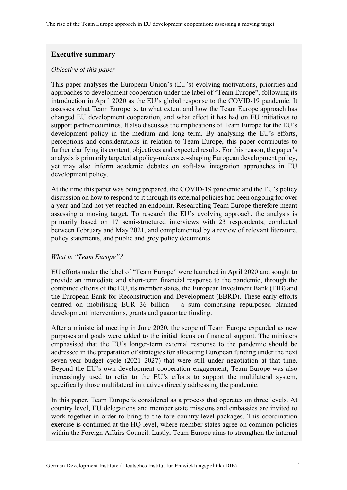#### <span id="page-7-0"></span>**Executive summary**

#### *Objective of this paper*

This paper analyses the European Union's (EU's) evolving motivations, priorities and approaches to development cooperation under the label of "Team Europe", following its introduction in April 2020 as the EU's global response to the COVID-19 pandemic. It assesses what Team Europe is, to what extent and how the Team Europe approach has changed EU development cooperation, and what effect it has had on EU initiatives to support partner countries. It also discusses the implications of Team Europe for the EU's development policy in the medium and long term. By analysing the EU's efforts, perceptions and considerations in relation to Team Europe, this paper contributes to further clarifying its content, objectives and expected results. For this reason, the paper's analysis is primarily targeted at policy-makers co-shaping European development policy, yet may also inform academic debates on soft-law integration approaches in EU development policy.

At the time this paper was being prepared, the COVID-19 pandemic and the EU's policy discussion on how to respond to it through its external policies had been ongoing for over a year and had not yet reached an endpoint. Researching Team Europe therefore meant assessing a moving target. To research the EU's evolving approach, the analysis is primarily based on 17 semi-structured interviews with 23 respondents, conducted between February and May 2021, and complemented by a review of relevant literature, policy statements, and public and grey policy documents.

#### *What is "Team Europe"?*

EU efforts under the label of "Team Europe" were launched in April 2020 and sought to provide an immediate and short-term financial response to the pandemic, through the combined efforts of the EU, its member states, the European Investment Bank (EIB) and the European Bank for Reconstruction and Development (EBRD). These early efforts centred on mobilising EUR 36 billion – a sum comprising repurposed planned development interventions, grants and guarantee funding.

After a ministerial meeting in June 2020, the scope of Team Europe expanded as new purposes and goals were added to the initial focus on financial support. The ministers emphasised that the EU's longer-term external response to the pandemic should be addressed in the preparation of strategies for allocating European funding under the next seven-year budget cycle (2021–2027) that were still under negotiation at that time. Beyond the EU's own development cooperation engagement, Team Europe was also increasingly used to refer to the EU's efforts to support the multilateral system, specifically those multilateral initiatives directly addressing the pandemic.

In this paper, Team Europe is considered as a process that operates on three levels. At country level, EU delegations and member state missions and embassies are invited to work together in order to bring to the fore country-level packages. This coordination exercise is continued at the HQ level, where member states agree on common policies within the Foreign Affairs Council. Lastly, Team Europe aims to strengthen the internal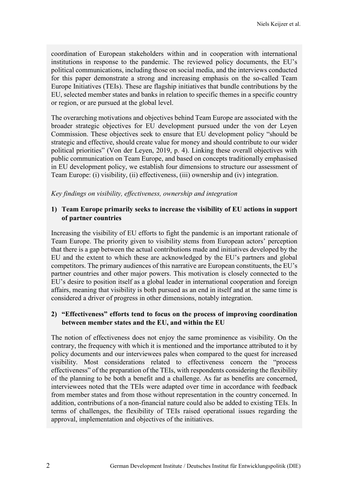coordination of European stakeholders within and in cooperation with international institutions in response to the pandemic. The reviewed policy documents, the EU's political communications, including those on social media, and the interviews conducted for this paper demonstrate a strong and increasing emphasis on the so-called Team Europe Initiatives (TEIs). These are flagship initiatives that bundle contributions by the EU, selected member states and banks in relation to specific themes in a specific country or region, or are pursued at the global level.

The overarching motivations and objectives behind Team Europe are associated with the broader strategic objectives for EU development pursued under the von der Leyen Commission. These objectives seek to ensure that EU development policy "should be strategic and effective, should create value for money and should contribute to our wider political priorities" (Von der Leyen, 2019, p. 4). Linking these overall objectives with public communication on Team Europe, and based on concepts traditionally emphasised in EU development policy, we establish four dimensions to structure our assessment of Team Europe: (i) visibility, (ii) effectiveness, (iii) ownership and (iv) integration.

*Key findings on visibility, effectiveness, ownership and integration*

#### **1) Team Europe primarily seeks to increase the visibility of EU actions in support of partner countries**

Increasing the visibility of EU efforts to fight the pandemic is an important rationale of Team Europe. The priority given to visibility stems from European actors' perception that there is a gap between the actual contributions made and initiatives developed by the EU and the extent to which these are acknowledged by the EU's partners and global competitors. The primary audiences of this narrative are European constituents, the EU's partner countries and other major powers. This motivation is closely connected to the EU's desire to position itself as a global leader in international cooperation and foreign affairs, meaning that visibility is both pursued as an end in itself and at the same time is considered a driver of progress in other dimensions, notably integration.

#### **2) "Effectiveness" efforts tend to focus on the process of improving coordination between member states and the EU, and within the EU**

The notion of effectiveness does not enjoy the same prominence as visibility. On the contrary, the frequency with which it is mentioned and the importance attributed to it by policy documents and our interviewees pales when compared to the quest for increased visibility. Most considerations related to effectiveness concern the "process effectiveness" of the preparation of the TEIs, with respondents considering the flexibility of the planning to be both a benefit and a challenge. As far as benefits are concerned, interviewees noted that the TEIs were adapted over time in accordance with feedback from member states and from those without representation in the country concerned. In addition, contributions of a non-financial nature could also be added to existing TEIs. In terms of challenges, the flexibility of TEIs raised operational issues regarding the approval, implementation and objectives of the initiatives.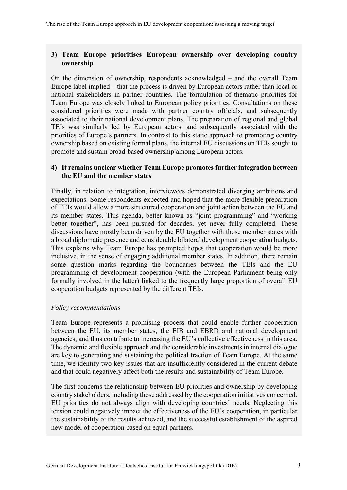#### **3) Team Europe prioritises European ownership over developing country ownership**

On the dimension of ownership, respondents acknowledged – and the overall Team Europe label implied – that the process is driven by European actors rather than local or national stakeholders in partner countries. The formulation of thematic priorities for Team Europe was closely linked to European policy priorities. Consultations on these considered priorities were made with partner country officials, and subsequently associated to their national development plans. The preparation of regional and global TEIs was similarly led by European actors, and subsequently associated with the priorities of Europe's partners. In contrast to this static approach to promoting country ownership based on existing formal plans, the internal EU discussions on TEIs sought to promote and sustain broad-based ownership among European actors.

#### **4) It remains unclear whether Team Europe promotes further integration between the EU and the member states**

Finally, in relation to integration, interviewees demonstrated diverging ambitions and expectations. Some respondents expected and hoped that the more flexible preparation of TEIs would allow a more structured cooperation and joint action between the EU and its member states. This agenda, better known as "joint programming" and "working better together", has been pursued for decades, yet never fully completed. These discussions have mostly been driven by the EU together with those member states with a broad diplomatic presence and considerable bilateral development cooperation budgets. This explains why Team Europe has prompted hopes that cooperation would be more inclusive, in the sense of engaging additional member states. In addition, there remain some question marks regarding the boundaries between the TEIs and the EU programming of development cooperation (with the European Parliament being only formally involved in the latter) linked to the frequently large proportion of overall EU cooperation budgets represented by the different TEIs.

#### *Policy recommendations*

Team Europe represents a promising process that could enable further cooperation between the EU, its member states, the EIB and EBRD and national development agencies, and thus contribute to increasing the EU's collective effectiveness in this area. The dynamic and flexible approach and the considerable investments in internal dialogue are key to generating and sustaining the political traction of Team Europe. At the same time, we identify two key issues that are insufficiently considered in the current debate and that could negatively affect both the results and sustainability of Team Europe.

The first concerns the relationship between EU priorities and ownership by developing country stakeholders, including those addressed by the cooperation initiatives concerned. EU priorities do not always align with developing countries' needs. Neglecting this tension could negatively impact the effectiveness of the EU's cooperation, in particular the sustainability of the results achieved, and the successful establishment of the aspired new model of cooperation based on equal partners.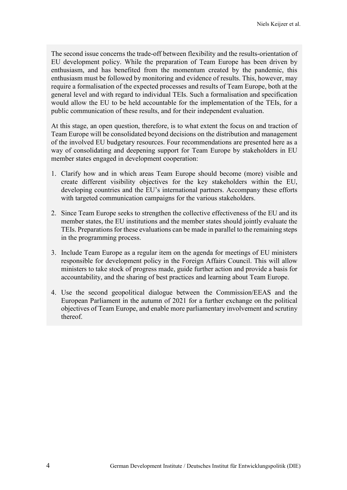The second issue concerns the trade-off between flexibility and the results-orientation of EU development policy. While the preparation of Team Europe has been driven by enthusiasm, and has benefited from the momentum created by the pandemic, this enthusiasm must be followed by monitoring and evidence of results. This, however, may require a formalisation of the expected processes and results of Team Europe, both at the general level and with regard to individual TEIs. Such a formalisation and specification would allow the EU to be held accountable for the implementation of the TEIs, for a public communication of these results, and for their independent evaluation.

At this stage, an open question, therefore, is to what extent the focus on and traction of Team Europe will be consolidated beyond decisions on the distribution and management of the involved EU budgetary resources. Four recommendations are presented here as a way of consolidating and deepening support for Team Europe by stakeholders in EU member states engaged in development cooperation:

- 1. Clarify how and in which areas Team Europe should become (more) visible and create different visibility objectives for the key stakeholders within the EU, developing countries and the EU's international partners. Accompany these efforts with targeted communication campaigns for the various stakeholders.
- 2. Since Team Europe seeks to strengthen the collective effectiveness of the EU and its member states, the EU institutions and the member states should jointly evaluate the TEIs. Preparations for these evaluations can be made in parallel to the remaining steps in the programming process.
- 3. Include Team Europe as a regular item on the agenda for meetings of EU ministers responsible for development policy in the Foreign Affairs Council. This will allow ministers to take stock of progress made, guide further action and provide a basis for accountability, and the sharing of best practices and learning about Team Europe.
- 4. Use the second geopolitical dialogue between the Commission/EEAS and the European Parliament in the autumn of 2021 for a further exchange on the political objectives of Team Europe, and enable more parliamentary involvement and scrutiny thereof.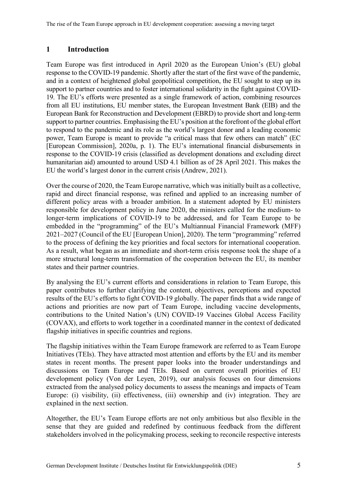## <span id="page-11-0"></span>**1 Introduction**

Team Europe was first introduced in April 2020 as the European Union's (EU) global response to the COVID-19 pandemic. Shortly after the start of the first wave of the pandemic, and in a context of heightened global geopolitical competition, the EU sought to step up its support to partner countries and to foster international solidarity in the fight against COVID-19. The EU's efforts were presented as a single framework of action, combining resources from all EU institutions, EU member states, the European Investment Bank (EIB) and the European Bank for Reconstruction and Development (EBRD) to provide short and long-term support to partner countries. Emphasising the EU's position at the forefront of the global effort to respond to the pandemic and its role as the world's largest donor and a leading economic power, Team Europe is meant to provide "a critical mass that few others can match" (EC [European Commission], 2020a, p. 1). The EU's international financial disbursements in response to the COVID-19 crisis (classified as development donations and excluding direct humanitarian aid) amounted to around USD 4.1 billion as of 28 April 2021. This makes the EU the world's largest donor in the current crisis (Andrew, 2021).

Over the course of 2020, the Team Europe narrative, which was initially built as a collective, rapid and direct financial response, was refined and applied to an increasing number of different policy areas with a broader ambition. In a statement adopted by EU ministers responsible for development policy in June 2020, the ministers called for the medium- to longer-term implications of COVID-19 to be addressed, and for Team Europe to be embedded in the "programming" of the EU's Multiannual Financial Framework (MFF) 2021–2027 (Council of the EU [European Union], 2020). The term "programming" referred to the process of defining the key priorities and focal sectors for international cooperation. As a result, what began as an immediate and short-term crisis response took the shape of a more structural long-term transformation of the cooperation between the EU, its member states and their partner countries.

By analysing the EU's current efforts and considerations in relation to Team Europe, this paper contributes to further clarifying the content, objectives, perceptions and expected results of the EU's efforts to fight COVID-19 globally. The paper finds that a wide range of actions and priorities are now part of Team Europe, including vaccine developments, contributions to the United Nation's (UN) COVID-19 Vaccines Global Access Facility (COVAX), and efforts to work together in a coordinated manner in the context of dedicated flagship initiatives in specific countries and regions.

The flagship initiatives within the Team Europe framework are referred to as Team Europe Initiatives (TEIs). They have attracted most attention and efforts by the EU and its member states in recent months. The present paper looks into the broader understandings and discussions on Team Europe and TEIs. Based on current overall priorities of EU development policy (Von der Leyen, 2019), our analysis focuses on four dimensions extracted from the analysed policy documents to assess the meanings and impacts of Team Europe: (i) visibility, (ii) effectiveness, (iii) ownership and (iv) integration. They are explained in the next section.

Altogether, the EU's Team Europe efforts are not only ambitious but also flexible in the sense that they are guided and redefined by continuous feedback from the different stakeholders involved in the policymaking process, seeking to reconcile respective interests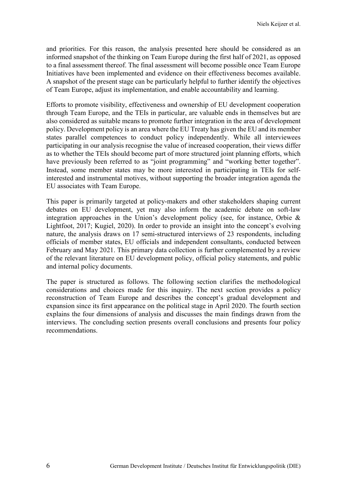and priorities. For this reason, the analysis presented here should be considered as an informed snapshot of the thinking on Team Europe during the first half of 2021, as opposed to a final assessment thereof. The final assessment will become possible once Team Europe Initiatives have been implemented and evidence on their effectiveness becomes available. A snapshot of the present stage can be particularly helpful to further identify the objectives of Team Europe, adjust its implementation, and enable accountability and learning.

Efforts to promote visibility, effectiveness and ownership of EU development cooperation through Team Europe, and the TEIs in particular, are valuable ends in themselves but are also considered as suitable means to promote further integration in the area of development policy. Development policy is an area where the EU Treaty has given the EU and its member states parallel competences to conduct policy independently. While all interviewees participating in our analysis recognise the value of increased cooperation, their views differ as to whether the TEIs should become part of more structured joint planning efforts, which have previously been referred to as "joint programming" and "working better together". Instead, some member states may be more interested in participating in TEIs for selfinterested and instrumental motives, without supporting the broader integration agenda the EU associates with Team Europe.

This paper is primarily targeted at policy-makers and other stakeholders shaping current debates on EU development, yet may also inform the academic debate on soft-law integration approaches in the Union's development policy (see, for instance, Orbie & Lightfoot, 2017; Kugiel, 2020). In order to provide an insight into the concept's evolving nature, the analysis draws on 17 semi-structured interviews of 23 respondents, including officials of member states, EU officials and independent consultants, conducted between February and May 2021. This primary data collection is further complemented by a review of the relevant literature on EU development policy, official policy statements, and public and internal policy documents.

The paper is structured as follows. The following section clarifies the methodological considerations and choices made for this inquiry. The next section provides a policy reconstruction of Team Europe and describes the concept's gradual development and expansion since its first appearance on the political stage in April 2020. The fourth section explains the four dimensions of analysis and discusses the main findings drawn from the interviews. The concluding section presents overall conclusions and presents four policy recommendations.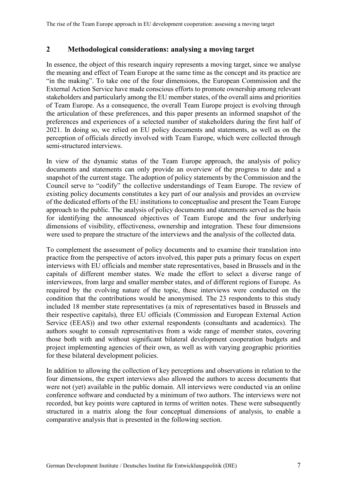#### <span id="page-13-0"></span>**2 Methodological considerations: analysing a moving target**

In essence, the object of this research inquiry represents a moving target, since we analyse the meaning and effect of Team Europe at the same time as the concept and its practice are "in the making". To take one of the four dimensions, the European Commission and the External Action Service have made conscious efforts to promote ownership among relevant stakeholders and particularly among the EU member states, of the overall aims and priorities of Team Europe. As a consequence, the overall Team Europe project is evolving through the articulation of these preferences, and this paper presents an informed snapshot of the preferences and experiences of a selected number of stakeholders during the first half of 2021. In doing so, we relied on EU policy documents and statements, as well as on the perception of officials directly involved with Team Europe, which were collected through semi-structured interviews.

In view of the dynamic status of the Team Europe approach, the analysis of policy documents and statements can only provide an overview of the progress to date and a snapshot of the current stage. The adoption of policy statements by the Commission and the Council serve to "codify" the collective understandings of Team Europe. The review of existing policy documents constitutes a key part of our analysis and provides an overview of the dedicated efforts of the EU institutions to conceptualise and present the Team Europe approach to the public. The analysis of policy documents and statements served as the basis for identifying the announced objectives of Team Europe and the four underlying dimensions of visibility, effectiveness, ownership and integration. These four dimensions were used to prepare the structure of the interviews and the analysis of the collected data.

To complement the assessment of policy documents and to examine their translation into practice from the perspective of actors involved, this paper puts a primary focus on expert interviews with EU officials and member state representatives, based in Brussels and in the capitals of different member states. We made the effort to select a diverse range of interviewees, from large and smaller member states, and of different regions of Europe. As required by the evolving nature of the topic, these interviews were conducted on the condition that the contributions would be anonymised. The 23 respondents to this study included 18 member state representatives (a mix of representatives based in Brussels and their respective capitals), three EU officials (Commission and European External Action Service (EEAS)) and two other external respondents (consultants and academics). The authors sought to consult representatives from a wide range of member states, covering those both with and without significant bilateral development cooperation budgets and project implementing agencies of their own, as well as with varying geographic priorities for these bilateral development policies.

In addition to allowing the collection of key perceptions and observations in relation to the four dimensions, the expert interviews also allowed the authors to access documents that were not (yet) available in the public domain. All interviews were conducted via an online conference software and conducted by a minimum of two authors. The interviews were not recorded, but key points were captured in terms of written notes. These were subsequently structured in a matrix along the four conceptual dimensions of analysis, to enable a comparative analysis that is presented in the following section.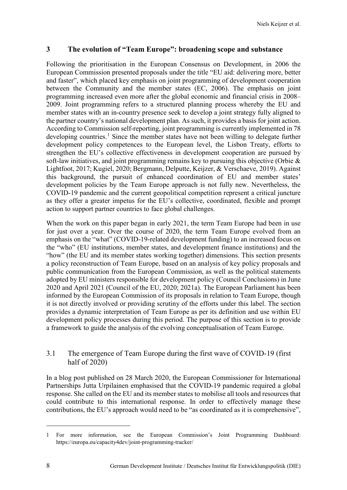#### <span id="page-14-0"></span>**3 The evolution of "Team Europe": broadening scope and substance**

Following the prioritisation in the European Consensus on Development, in 2006 the European Commission presented proposals under the title "EU aid: delivering more, better and faster", which placed key emphasis on joint programming of development cooperation between the Community and the member states (EC, 2006). The emphasis on joint programming increased even more after the global economic and financial crisis in 2008– 2009. Joint programming refers to a structured planning process whereby the EU and member states with an in-country presence seek to develop a joint strategy fully aligned to the partner country's national development plan. As such, it provides a basis for joint action. According to Commission self-reporting, joint programming is currently implemented in 78 developing countries.<sup>[1](#page-14-2)</sup> Since the member states have not been willing to delegate further development policy competences to the European level, the Lisbon Treaty, efforts to strengthen the EU's collective effectiveness in development cooperation are pursued by soft-law initiatives, and joint programming remains key to pursuing this objective (Orbie & Lightfoot, 2017; Kugiel, 2020; Bergmann, Delputte, Keijzer, & Verschaeve, 2019). Against this background, the pursuit of enhanced coordination of EU and member states' development policies by the Team Europe approach is not fully new. Nevertheless, the COVID-19 pandemic and the current geopolitical competition represent a critical juncture as they offer a greater impetus for the EU's collective, coordinated, flexible and prompt action to support partner countries to face global challenges.

When the work on this paper began in early 2021, the term Team Europe had been in use for just over a year. Over the course of 2020, the term Team Europe evolved from an emphasis on the "what" (COVID-19-related development funding) to an increased focus on the "who" (EU institutions, member states, and development finance institutions) and the "how" (the EU and its member states working together) dimensions. This section presents a policy reconstruction of Team Europe, based on an analysis of key policy proposals and public communication from the European Commission, as well as the political statements adopted by EU ministers responsible for development policy (Council Conclusions) in June 2020 and April 2021 (Council of the EU, 2020; 2021a). The European Parliament has been informed by the European Commission of its proposals in relation to Team Europe, though it is not directly involved or providing scrutiny of the efforts under this label. The section provides a dynamic interpretation of Team Europe as per its definition and use within EU development policy processes during this period. The purpose of this section is to provide a framework to guide the analysis of the evolving conceptualisation of Team Europe.

#### <span id="page-14-1"></span>3.1 The emergence of Team Europe during the first wave of COVID-19 (first half of 2020)

In a blog post published on 28 March 2020, the European Commissioner for International Partnerships Jutta Urpilainen emphasised that the COVID-19 pandemic required a global response. She called on the EU and its member states to mobilise all tools and resources that could contribute to this international response. In order to effectively manage these contributions, the EU's approach would need to be "as coordinated as it is comprehensive",

 $\overline{a}$ 

<span id="page-14-2"></span><sup>1</sup> For more information, see the European Commission's Joint Programming Dashboard: https://europa.eu/capacity4dev/joint-programming-tracker/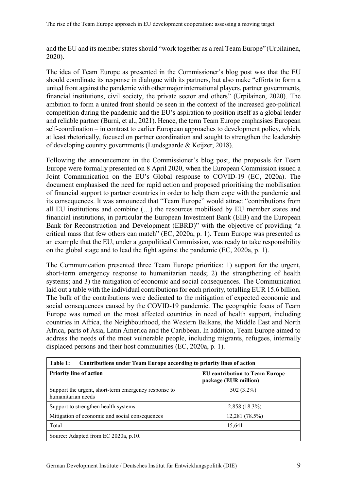and the EU and its member states should "work together as a real Team Europe" (Urpilainen, 2020).

The idea of Team Europe as presented in the Commissioner's blog post was that the EU should coordinate its response in dialogue with its partners, but also make "efforts to form a united front against the pandemic with other major international players, partner governments, financial institutions, civil society, the private sector and others" (Urpilainen, 2020). The ambition to form a united front should be seen in the context of the increased geo-political competition during the pandemic and the EU's aspiration to position itself as a global leader and reliable partner (Burni, et al., 2021). Hence, the term Team Europe emphasises European self-coordination – in contrast to earlier European approaches to development policy, which, at least rhetorically, focused on partner coordination and sought to strengthen the leadership of developing country governments (Lundsgaarde & Keijzer, 2018).

Following the announcement in the Commissioner's blog post, the proposals for Team Europe were formally presented on 8 April 2020, when the European Commission issued a Joint Communication on the EU's Global response to COVID-19 (EC, 2020a). The document emphasised the need for rapid action and proposed prioritising the mobilisation of financial support to partner countries in order to help them cope with the pandemic and its consequences. It was announced that "Team Europe" would attract "contributions from all EU institutions and combine (…) the resources mobilised by EU member states and financial institutions, in particular the European Investment Bank (EIB) and the European Bank for Reconstruction and Development (EBRD)" with the objective of providing "a critical mass that few others can match" (EC, 2020a, p. 1). Team Europe was presented as an example that the EU, under a geopolitical Commission, was ready to take responsibility on the global stage and to lead the fight against the pandemic (EC, 2020a, p. 1).

The Communication presented three Team Europe priorities: 1) support for the urgent, short-term emergency response to humanitarian needs; 2) the strengthening of health systems; and 3) the mitigation of economic and social consequences. The Communication laid out a table with the individual contributions for each priority, totalling EUR 15.6 billion. The bulk of the contributions were dedicated to the mitigation of expected economic and social consequences caused by the COVID-19 pandemic. The geographic focus of Team Europe was turned on the most affected countries in need of health support, including countries in Africa, the Neighbourhood, the Western Balkans, the Middle East and North Africa, parts of Asia, Latin America and the Caribbean. In addition, Team Europe aimed to address the needs of the most vulnerable people, including migrants, refugees, internally displaced persons and their host communities (EC, 2020a, p. 1).

<span id="page-15-0"></span>

| Table 1:<br>Contributions under Team Europe according to priority lines of action |                                                                |  |  |
|-----------------------------------------------------------------------------------|----------------------------------------------------------------|--|--|
| <b>Priority line of action</b>                                                    | <b>EU</b> contribution to Team Europe<br>package (EUR million) |  |  |
| Support the urgent, short-term emergency response to<br>humanitarian needs        | 502 (3.2%)                                                     |  |  |
| Support to strengthen health systems                                              | 2,858 (18.3%)                                                  |  |  |
| Mitigation of economic and social consequences                                    | 12,281 (78.5%)                                                 |  |  |
| Total                                                                             | 15,641                                                         |  |  |
| Source: Adapted from EC 2020a, p.10.                                              |                                                                |  |  |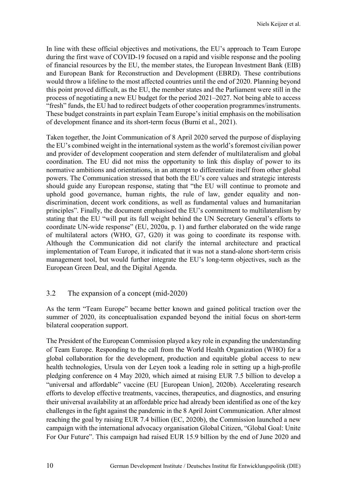In line with these official objectives and motivations, the EU's approach to Team Europe during the first wave of COVID-19 focused on a rapid and visible response and the pooling of financial resources by the EU, the member states, the European Investment Bank (EIB) and European Bank for Reconstruction and Development (EBRD). These contributions would throw a lifeline to the most affected countries until the end of 2020. Planning beyond this point proved difficult, as the EU, the member states and the Parliament were still in the process of negotiating a new EU budget for the period 2021–2027. Not being able to access "fresh" funds, the EU had to redirect budgets of other cooperation programmes/instruments. These budget constraints in part explain Team Europe's initial emphasis on the mobilisation of development finance and its short-term focus (Burni et al., 2021).

Taken together, the Joint Communication of 8 April 2020 served the purpose of displaying the EU's combined weight in the international system as the world's foremost civilian power and provider of development cooperation and stern defender of multilateralism and global coordination. The EU did not miss the opportunity to link this display of power to its normative ambitions and orientations, in an attempt to differentiate itself from other global powers. The Communication stressed that both the EU's core values and strategic interests should guide any European response, stating that "the EU will continue to promote and uphold good governance, human rights, the rule of law, gender equality and nondiscrimination, decent work conditions, as well as fundamental values and humanitarian principles". Finally, the document emphasised the EU's commitment to multilateralism by stating that the EU "will put its full weight behind the UN Secretary General's efforts to coordinate UN-wide response" (EU, 2020a, p. 1) and further elaborated on the wide range of multilateral actors (WHO, G7, G20) it was going to coordinate its response with. Although the Communication did not clarify the internal architecture and practical implementation of Team Europe, it indicated that it was not a stand-alone short-term crisis management tool, but would further integrate the EU's long-term objectives, such as the European Green Deal, and the Digital Agenda.

### <span id="page-16-0"></span>3.2 The expansion of a concept (mid-2020)

As the term "Team Europe" became better known and gained political traction over the summer of 2020, its conceptualisation expanded beyond the initial focus on short-term bilateral cooperation support.

The President of the European Commission played a key role in expanding the understanding of Team Europe. Responding to the call from the World Health Organization (WHO) for a global collaboration for the development, production and equitable global access to new health technologies, Ursula von der Leyen took a leading role in setting up a high-profile pledging conference on 4 May 2020, which aimed at raising EUR 7.5 billion to develop a "universal and affordable" vaccine (EU [European Union], 2020b). Accelerating research efforts to develop effective treatments, vaccines, therapeutics, and diagnostics, and ensuring their universal availability at an affordable price had already been identified as one of the key challenges in the fight against the pandemic in the 8 April Joint Communication. After almost reaching the goal by raising EUR 7.4 billion (EC, 2020b), the Commission launched a new campaign with the international advocacy organisation Global Citizen, "Global Goal: Unite For Our Future". This campaign had raised EUR 15.9 billion by the end of June 2020 and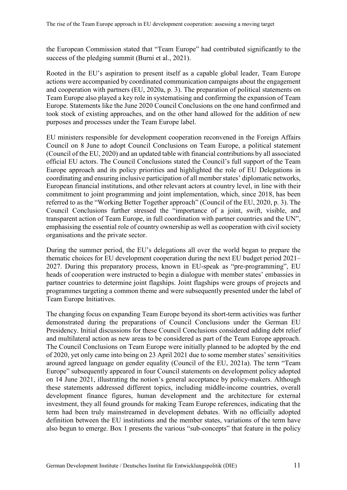the European Commission stated that "Team Europe" had contributed significantly to the success of the pledging summit (Burni et al., 2021).

Rooted in the EU's aspiration to present itself as a capable global leader, Team Europe actions were accompanied by coordinated communication campaigns about the engagement and cooperation with partners (EU, 2020a, p. 3). The preparation of political statements on Team Europe also played a key role in systematising and confirming the expansion of Team Europe. Statements like the June 2020 Council Conclusions on the one hand confirmed and took stock of existing approaches, and on the other hand allowed for the addition of new purposes and processes under the Team Europe label.

EU ministers responsible for development cooperation reconvened in the Foreign Affairs Council on 8 June to adopt Council Conclusions on Team Europe, a political statement (Council of the EU, 2020) and an updated table with financial contributions by all associated official EU actors. The Council Conclusions stated the Council's full support of the Team Europe approach and its policy priorities and highlighted the role of EU Delegations in coordinating and ensuring inclusive participation of all member states' diplomatic networks, European financial institutions, and other relevant actors at country level, in line with their commitment to joint programming and joint implementation, which, since 2018, has been referred to as the "Working Better Together approach" (Council of the EU, 2020, p. 3). The Council Conclusions further stressed the "importance of a joint, swift, visible, and transparent action of Team Europe, in full coordination with partner countries and the UN", emphasising the essential role of country ownership as well as cooperation with civil society organisations and the private sector.

During the summer period, the EU's delegations all over the world began to prepare the thematic choices for EU development cooperation during the next EU budget period 2021– 2027. During this preparatory process, known in EU-speak as "pre-programming", EU heads of cooperation were instructed to begin a dialogue with member states' embassies in partner countries to determine joint flagships. Joint flagships were groups of projects and programmes targeting a common theme and were subsequently presented under the label of Team Europe Initiatives.

The changing focus on expanding Team Europe beyond its short-term activities was further demonstrated during the preparations of Council Conclusions under the German EU Presidency. Initial discussions for these Council Conclusions considered adding debt relief and multilateral action as new areas to be considered as part of the Team Europe approach. The Council Conclusions on Team Europe were initially planned to be adopted by the end of 2020, yet only came into being on 23 April 2021 due to some member states' sensitivities around agreed language on gender equality (Council of the EU, 2021a). The term "Team Europe" subsequently appeared in four Council statements on development policy adopted on 14 June 2021, illustrating the notion's general acceptance by policy-makers. Although these statements addressed different topics, including middle-income countries, overall development finance figures, human development and the architecture for external investment, they all found grounds for making Team Europe references, indicating that the term had been truly mainstreamed in development debates. With no officially adopted definition between the EU institutions and the member states, variations of the term have also begun to emerge. Box 1 presents the various "sub-concepts" that feature in the policy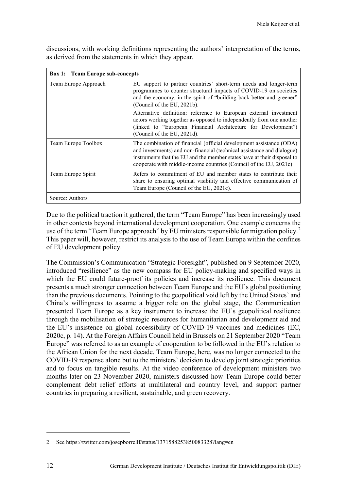<span id="page-18-0"></span>**Box 1: Team Europe sub-concepts** Team Europe Approach EU support to partner countries' short-term needs and longer-term programmes to counter structural impacts of COVID-19 on societies and the economy, in the spirit of "building back better and greener" (Council of the EU, 2021b). Alternative definition: reference to European external investment actors working together as opposed to independently from one another (linked to "European Financial Architecture for Development") (Council of the EU, 2021d). Team Europe Toolbox The combination of financial (official development assistance (ODA) and investments) and non-financial (technical assistance and dialogue) instruments that the EU and the member states have at their disposal to cooperate with middle-income countries (Council of the EU, 2021c) Team Europe Spirit Refers to commitment of EU and member states to contribute their share to ensuring optimal visibility and effective communication of Team Europe (Council of the EU, 2021c). Source: Authors

discussions, with working definitions representing the authors' interpretation of the terms, as derived from the statements in which they appear.

Due to the political traction it gathered, the term "Team Europe" has been increasingly used in other contexts beyond international development cooperation. One example concerns the use of the term "Team Europe approach" by EU ministers responsible for migration policy.<sup>[2](#page-18-1)</sup> This paper will, however, restrict its analysis to the use of Team Europe within the confines of EU development policy.

The Commission's Communication "Strategic Foresight", published on 9 September 2020, introduced "resilience" as the new compass for EU policy-making and specified ways in which the EU could future-proof its policies and increase its resilience. This document presents a much stronger connection between Team Europe and the EU's global positioning than the previous documents. Pointing to the geopolitical void left by the United States' and China's willingness to assume a bigger role on the global stage, the Communication presented Team Europe as a key instrument to increase the EU's geopolitical resilience through the mobilisation of strategic resources for humanitarian and development aid and the EU's insistence on global accessibility of COVID-19 vaccines and medicines (EC, 2020c, p. 14). At the Foreign Affairs Council held in Brussels on 21 September 2020 "Team Europe" was referred to as an example of cooperation to be followed in the EU's relation to the African Union for the next decade. Team Europe, here, was no longer connected to the COVID-19 response alone but to the ministers' decision to develop joint strategic priorities and to focus on tangible results. At the video conference of development ministers two months later on 23 November 2020, ministers discussed how Team Europe could better complement debt relief efforts at multilateral and country level, and support partner countries in preparing a resilient, sustainable, and green recovery.

 $\overline{a}$ 

<span id="page-18-1"></span><sup>2</sup> See https://twitter.com/josepborrellf/status/1371588253850083328?lang=en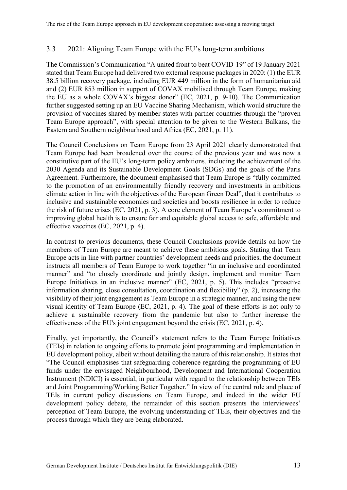### <span id="page-19-0"></span>3.3 2021: Aligning Team Europe with the EU's long-term ambitions

The Commission's Communication "A united front to beat COVID-19" of 19 January 2021 stated that Team Europe had delivered two external response packages in 2020: (1) the EUR 38.5 billion recovery package, including EUR 449 million in the form of humanitarian aid and (2) EUR 853 million in support of COVAX mobilised through Team Europe, making the EU as a whole COVAX's biggest donor" (EC, 2021, p. 9-10). The Communication further suggested setting up an EU Vaccine Sharing Mechanism, which would structure the provision of vaccines shared by member states with partner countries through the "proven Team Europe approach", with special attention to be given to the Western Balkans, the Eastern and Southern neighbourhood and Africa (EC, 2021, p. 11).

The Council Conclusions on Team Europe from 23 April 2021 clearly demonstrated that Team Europe had been broadened over the course of the previous year and was now a constitutive part of the EU's long-term policy ambitions, including the achievement of the 2030 Agenda and its Sustainable Development Goals (SDGs) and the goals of the Paris Agreement. Furthermore, the document emphasised that Team Europe is "fully committed to the promotion of an environmentally friendly recovery and investments in ambitious climate action in line with the objectives of the European Green Deal", that it contributes to inclusive and sustainable economies and societies and boosts resilience in order to reduce the risk of future crises (EC, 2021, p. 3). A core element of Team Europe's commitment to improving global health is to ensure fair and equitable global access to safe, affordable and effective vaccines (EC, 2021, p. 4).

In contrast to previous documents, these Council Conclusions provide details on how the members of Team Europe are meant to achieve these ambitious goals. Stating that Team Europe acts in line with partner countries' development needs and priorities, the document instructs all members of Team Europe to work together "in an inclusive and coordinated manner" and "to closely coordinate and jointly design, implement and monitor Team Europe Initiatives in an inclusive manner" (EC, 2021, p. 5). This includes "proactive information sharing, close consultation, coordination and flexibility" (p. 2), increasing the visibility of their joint engagement as Team Europe in a strategic manner, and using the new visual identity of Team Europe (EC, 2021, p. 4). The goal of these efforts is not only to achieve a sustainable recovery from the pandemic but also to further increase the effectiveness of the EU's joint engagement beyond the crisis (EC, 2021, p. 4).

Finally, yet importantly, the Council's statement refers to the Team Europe Initiatives (TEIs) in relation to ongoing efforts to promote joint programming and implementation in EU development policy, albeit without detailing the nature of this relationship. It states that "The Council emphasises that safeguarding coherence regarding the programming of EU funds under the envisaged Neighbourhood, Development and International Cooperation Instrument (NDICI) is essential, in particular with regard to the relationship between TEIs and Joint Programming/Working Better Together." In view of the central role and place of TEIs in current policy discussions on Team Europe, and indeed in the wider EU development policy debate, the remainder of this section presents the interviewees' perception of Team Europe, the evolving understanding of TEIs, their objectives and the process through which they are being elaborated.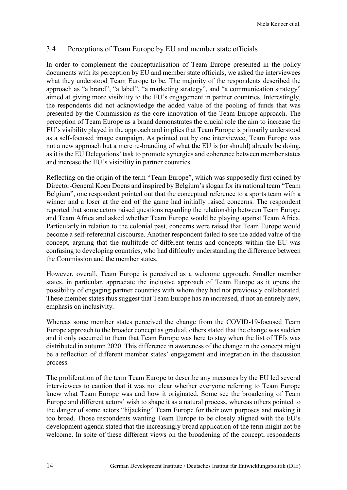#### <span id="page-20-0"></span>3.4 Perceptions of Team Europe by EU and member state officials

In order to complement the conceptualisation of Team Europe presented in the policy documents with its perception by EU and member state officials, we asked the interviewees what they understood Team Europe to be. The majority of the respondents described the approach as "a brand", "a label", "a marketing strategy", and "a communication strategy" aimed at giving more visibility to the EU's engagement in partner countries. Interestingly, the respondents did not acknowledge the added value of the pooling of funds that was presented by the Commission as the core innovation of the Team Europe approach. The perception of Team Europe as a brand demonstrates the crucial role the aim to increase the EU's visibility played in the approach and implies that Team Europe is primarily understood as a self-focused image campaign. As pointed out by one interviewee, Team Europe was not a new approach but a mere re-branding of what the EU is (or should) already be doing, as it is the EU Delegations' task to promote synergies and coherence between member states and increase the EU's visibility in partner countries.

Reflecting on the origin of the term "Team Europe", which was supposedly first coined by Director-General Koen Doens and inspired by Belgium's slogan for its national team "Team Belgium", one respondent pointed out that the conceptual reference to a sports team with a winner and a loser at the end of the game had initially raised concerns. The respondent reported that some actors raised questions regarding the relationship between Team Europe and Team Africa and asked whether Team Europe would be playing against Team Africa. Particularly in relation to the colonial past, concerns were raised that Team Europe would become a self-referential discourse. Another respondent failed to see the added value of the concept, arguing that the multitude of different terms and concepts within the EU was confusing to developing countries, who had difficulty understanding the difference between the Commission and the member states.

However, overall, Team Europe is perceived as a welcome approach. Smaller member states, in particular, appreciate the inclusive approach of Team Europe as it opens the possibility of engaging partner countries with whom they had not previously collaborated. These member states thus suggest that Team Europe has an increased, if not an entirely new, emphasis on inclusivity.

Whereas some member states perceived the change from the COVID-19-focused Team Europe approach to the broader concept as gradual, others stated that the change was sudden and it only occurred to them that Team Europe was here to stay when the list of TEIs was distributed in autumn 2020. This difference in awareness of the change in the concept might be a reflection of different member states' engagement and integration in the discussion process.

The proliferation of the term Team Europe to describe any measures by the EU led several interviewees to caution that it was not clear whether everyone referring to Team Europe knew what Team Europe was and how it originated. Some see the broadening of Team Europe and different actors' wish to shape it as a natural process, whereas others pointed to the danger of some actors "hijacking" Team Europe for their own purposes and making it too broad. Those respondents wanting Team Europe to be closely aligned with the EU's development agenda stated that the increasingly broad application of the term might not be welcome. In spite of these different views on the broadening of the concept, respondents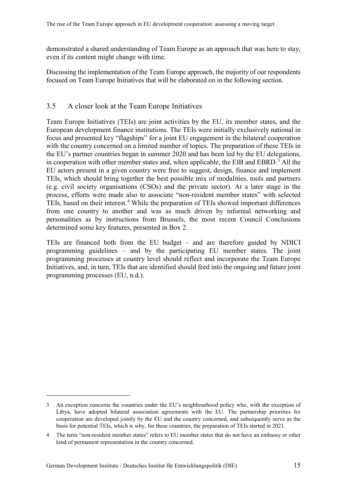demonstrated a shared understanding of Team Europe as an approach that was here to stay, even if its content might change with time.

<span id="page-21-0"></span>Discussing the implementation of the Team Europe approach, the majority of our respondents focused on Team Europe Initiatives that will be elaborated on in the following section.

#### 3.5 A closer look at the Team Europe Initiatives

Team Europe Initiatives (TEIs) are joint activities by the EU, its member states, and the European development finance institutions. The TEIs were initially exclusively national in focus and presented key "flagships" for a joint EU engagement in the bilateral cooperation with the country concerned on a limited number of topics. The preparation of these TEIs in the EU's partner countries began in summer 2020 and has been led by the EU delegations, in cooperation with other member states and, when applicable, the EIB and EBRD.<sup>[3](#page-21-1)</sup> All the EU actors present in a given country were free to suggest, design, finance and implement TEIs, which should bring together the best possible mix of modalities, tools and partners (e.g. civil society organisations (CSOs) and the private sector). At a later stage in the process, efforts were made also to associate "non-resident member states" with selected TEIs, based on their interest.<sup>[4](#page-21-2)</sup> While the preparation of TEIs showed important differences from one country to another and was as much driven by informal networking and personalities as by instructions from Brussels, the most recent Council Conclusions determined some key features, presented in Box 2.

TEIs are financed both from the EU budget – and are therefore guided by NDICI programming guidelines – and by the participating EU member states. The joint programming processes at country level should reflect and incorporate the Team Europe Initiatives, and, in turn, TEIs that are identified should feed into the ongoing and future joint programming processes (EU, n.d.).

 $\overline{a}$ 

<span id="page-21-1"></span><sup>3</sup> An exception concerns the countries under the EU's neighbourhood policy who, with the exception of Libya, have adopted bilateral association agreements with the EU. The partnership priorities for cooperation are developed jointly by the EU and the country concerned, and subsequently serve as the basis for potential TEIs, which is why, for these countries, the preparation of TEIs started in 2021.

<span id="page-21-2"></span><sup>4</sup> The term "non-resident member states" refers to EU member states that do not have an embassy or other kind of permanent representation in the country concerned.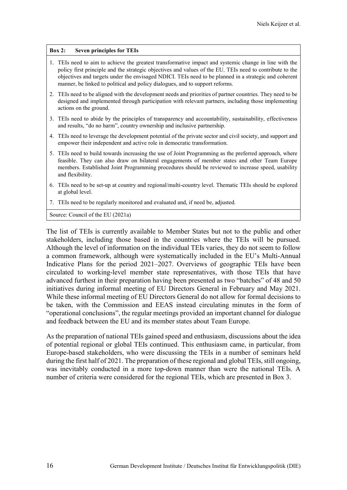#### <span id="page-22-0"></span>**Box 2: Seven principles for TEIs**

- 1. TEIs need to aim to achieve the greatest transformative impact and systemic change in line with the policy first principle and the strategic objectives and values of the EU. TEIs need to contribute to the objectives and targets under the envisaged NDICI. TEIs need to be planned in a strategic and coherent manner, be linked to political and policy dialogues, and to support reforms.
- 2. TEIs need to be aligned with the development needs and priorities of partner countries. They need to be designed and implemented through participation with relevant partners, including those implementing actions on the ground.
- 3. TEIs need to abide by the principles of transparency and accountability, sustainability, effectiveness and results, "do no harm", country ownership and inclusive partnership.
- 4. TEIs need to leverage the development potential of the private sector and civil society, and support and empower their independent and active role in democratic transformation.
- 5. TEIs need to build towards increasing the use of Joint Programming as the preferred approach, where feasible. They can also draw on bilateral engagements of member states and other Team Europe members. Established Joint Programming procedures should be reviewed to increase speed, usability and flexibility.
- 6. TEIs need to be set-up at country and regional/multi-country level. Thematic TEIs should be explored at global level.
- 7. TEIs need to be regularly monitored and evaluated and, if need be, adjusted.

Source: Council of the EU (2021a)

The list of TEIs is currently available to Member States but not to the public and other stakeholders, including those based in the countries where the TEIs will be pursued. Although the level of information on the individual TEIs varies, they do not seem to follow a common framework, although were systematically included in the EU's Multi-Annual Indicative Plans for the period 2021–2027. Overviews of geographic TEIs have been circulated to working-level member state representatives, with those TEIs that have advanced furthest in their preparation having been presented as two "batches" of 48 and 50 initiatives during informal meeting of EU Directors General in February and May 2021. While these informal meeting of EU Directors General do not allow for formal decisions to be taken, with the Commission and EEAS instead circulating minutes in the form of "operational conclusions", the regular meetings provided an important channel for dialogue and feedback between the EU and its member states about Team Europe.

As the preparation of national TEIs gained speed and enthusiasm, discussions about the idea of potential regional or global TEIs continued. This enthusiasm came, in particular, from Europe-based stakeholders, who were discussing the TEIs in a number of seminars held during the first half of 2021. The preparation of these regional and global TEIs, still ongoing, was inevitably conducted in a more top-down manner than were the national TEIs. A number of criteria were considered for the regional TEIs, which are presented in Box 3.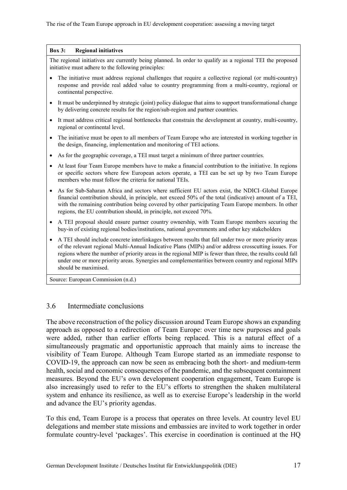#### <span id="page-23-1"></span>**Box 3: Regional initiatives**

The regional initiatives are currently being planned. In order to qualify as a regional TEI the proposed initiative must adhere to the following principles:

- The initiative must address regional challenges that require a collective regional (or multi-country) response and provide real added value to country programming from a multi-country, regional or continental perspective.
- It must be underpinned by strategic (joint) policy dialogue that aims to support transformational change by delivering concrete results for the region/sub-region and partner countries.
- It must address critical regional bottlenecks that constrain the development at country, multi-country, regional or continental level.
- The initiative must be open to all members of Team Europe who are interested in working together in the design, financing, implementation and monitoring of TEI actions.
- As for the geographic coverage, a TEI must target a minimum of three partner countries.
- At least four Team Europe members have to make a financial contribution to the initiative. In regions or specific sectors where few European actors operate, a TEI can be set up by two Team Europe members who must follow the criteria for national TEIs.
- As for Sub-Saharan Africa and sectors where sufficient EU actors exist, the NDICI–Global Europe financial contribution should, in principle, not exceed 50% of the total (indicative) amount of a TEI, with the remaining contribution being covered by other participating Team Europe members. In other regions, the EU contribution should, in principle, not exceed 70%.
- A TEI proposal should ensure partner country ownership, with Team Europe members securing the buy-in of existing regional bodies/institutions, national governments and other key stakeholders
- A TEI should include concrete interlinkages between results that fall under two or more priority areas of the relevant regional Multi-Annual Indicative Plans (MIPs) and/or address crosscutting issues. For regions where the number of priority areas in the regional MIP is fewer than three, the results could fall under one or more priority areas. Synergies and complementarities between country and regional MIPs should be maximised.

<span id="page-23-0"></span>Source: European Commission (n.d.)

#### 3.6 Intermediate conclusions

The above reconstruction of the policy discussion around Team Europe shows an expanding approach as opposed to a redirection of Team Europe: over time new purposes and goals were added, rather than earlier efforts being replaced. This is a natural effect of a simultaneously pragmatic and opportunistic approach that mainly aims to increase the visibility of Team Europe. Although Team Europe started as an immediate response to COVID-19, the approach can now be seen as embracing both the short- and medium-term health, social and economic consequences of the pandemic, and the subsequent containment measures. Beyond the EU's own development cooperation engagement, Team Europe is also increasingly used to refer to the EU's efforts to strengthen the shaken multilateral system and enhance its resilience, as well as to exercise Europe's leadership in the world and advance the EU's priority agendas.

To this end, Team Europe is a process that operates on three levels. At country level EU delegations and member state missions and embassies are invited to work together in order formulate country-level 'packages'. This exercise in coordination is continued at the HQ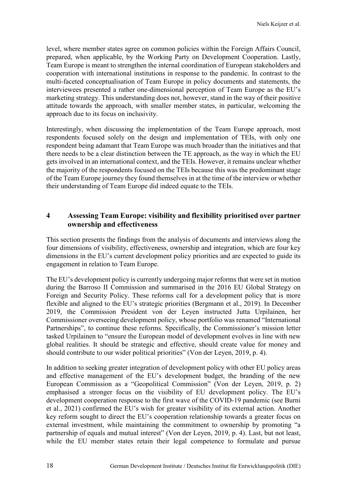level, where member states agree on common policies within the Foreign Affairs Council, prepared, when applicable, by the Working Party on Development Cooperation. Lastly, Team Europe is meant to strengthen the internal coordination of European stakeholders and cooperation with international institutions in response to the pandemic. In contrast to the multi-faceted conceptualisation of Team Europe in policy documents and statements, the interviewees presented a rather one-dimensional perception of Team Europe as the EU's marketing strategy. This understanding does not, however, stand in the way of their positive attitude towards the approach, with smaller member states, in particular, welcoming the approach due to its focus on inclusivity.

Interestingly, when discussing the implementation of the Team Europe approach, most respondents focused solely on the design and implementation of TEIs, with only one respondent being adamant that Team Europe was much broader than the initiatives and that there needs to be a clear distinction between the TE approach, as the way in which the EU gets involved in an international context, and the TEIs. However, it remains unclear whether the majority of the respondents focused on the TEIs because this was the predominant stage of the Team Europe journey they found themselves in at the time of the interview or whether their understanding of Team Europe did indeed equate to the TEIs.

#### <span id="page-24-0"></span>**4 Assessing Team Europe: visibility and flexibility prioritised over partner ownership and effectiveness**

This section presents the findings from the analysis of documents and interviews along the four dimensions of visibility, effectiveness, ownership and integration, which are four key dimensions in the EU's current development policy priorities and are expected to guide its engagement in relation to Team Europe.

The EU's development policy is currently undergoing major reforms that were set in motion during the Barroso II Commission and summarised in the 2016 EU Global Strategy on Foreign and Security Policy. These reforms call for a development policy that is more flexible and aligned to the EU's strategic priorities (Bergmann et al., 2019). In December 2019, the Commission President von der Leyen instructed Jutta Urpilainen, her Commissioner overseeing development policy, whose portfolio was renamed "International Partnerships", to continue these reforms. Specifically, the Commissioner's mission letter tasked Urpilainen to "ensure the European model of development evolves in line with new global realities. It should be strategic and effective, should create value for money and should contribute to our wider political priorities" (Von der Leyen, 2019, p. 4).

In addition to seeking greater integration of development policy with other EU policy areas and effective management of the EU's development budget, the branding of the new European Commission as a "Geopolitical Commission" (Von der Leyen, 2019, p. 2) emphasised a stronger focus on the visibility of EU development policy. The EU's development cooperation response to the first wave of the COVID-19 pandemic (see Burni et al., 2021) confirmed the EU's wish for greater visibility of its external action. Another key reform sought to direct the EU's cooperation relationship towards a greater focus on external investment, while maintaining the commitment to ownership by promoting "a partnership of equals and mutual interest" (Von der Leyen, 2019, p. 4). Last, but not least, while the EU member states retain their legal competence to formulate and pursue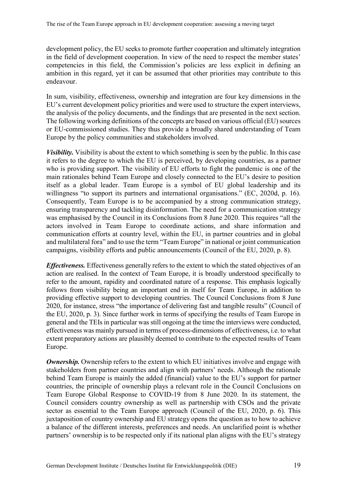development policy, the EU seeks to promote further cooperation and ultimately integration in the field of development cooperation. In view of the need to respect the member states' competencies in this field, the Commission's policies are less explicit in defining an ambition in this regard, yet it can be assumed that other priorities may contribute to this endeavour.

In sum, visibility, effectiveness, ownership and integration are four key dimensions in the EU's current development policy priorities and were used to structure the expert interviews, the analysis of the policy documents, and the findings that are presented in the next section. The following working definitions of the concepts are based on various official (EU) sources or EU-commissioned studies. They thus provide a broadly shared understanding of Team Europe by the policy communities and stakeholders involved.

*Visibility.* Visibility is about the extent to which something is seen by the public. In this case it refers to the degree to which the EU is perceived, by developing countries, as a partner who is providing support. The visibility of EU efforts to fight the pandemic is one of the main rationales behind Team Europe and closely connected to the EU's desire to position itself as a global leader. Team Europe is a symbol of EU global leadership and its willingness "to support its partners and international organisations." (EC, 2020d, p. 16). Consequently, Team Europe is to be accompanied by a strong communication strategy, ensuring transparency and tackling disinformation. The need for a communication strategy was emphasised by the Council in its Conclusions from 8 June 2020. This requires "all the actors involved in Team Europe to coordinate actions, and share information and communication efforts at country level, within the EU, in partner countries and in global and multilateral fora" and to use the term "Team Europe" in national or joint communication campaigns, visibility efforts and public announcements (Council of the EU, 2020, p. 8).

*Effectiveness.* Effectiveness generally refers to the extent to which the stated objectives of an action are realised. In the context of Team Europe, it is broadly understood specifically to refer to the amount, rapidity and coordinated nature of a response. This emphasis logically follows from visibility being an important end in itself for Team Europe, in addition to providing effective support to developing countries. The Council Conclusions from 8 June 2020, for instance, stress "the importance of delivering fast and tangible results" (Council of the EU, 2020, p. 3). Since further work in terms of specifying the results of Team Europe in general and the TEIs in particular was still ongoing at the time the interviews were conducted, effectiveness was mainly pursued in terms of process-dimensions of effectiveness, i.e. to what extent preparatory actions are plausibly deemed to contribute to the expected results of Team Europe.

*Ownership.* Ownership refers to the extent to which EU initiatives involve and engage with stakeholders from partner countries and align with partners' needs. Although the rationale behind Team Europe is mainly the added (financial) value to the EU's support for partner countries, the principle of ownership plays a relevant role in the Council Conclusions on Team Europe Global Response to COVID-19 from 8 June 2020. In its statement, the Council considers country ownership as well as partnership with CSOs and the private sector as essential to the Team Europe approach (Council of the EU, 2020, p. 6). This juxtaposition of country ownership and EU strategy opens the question as to how to achieve a balance of the different interests, preferences and needs. An unclarified point is whether partners' ownership is to be respected only if its national plan aligns with the EU's strategy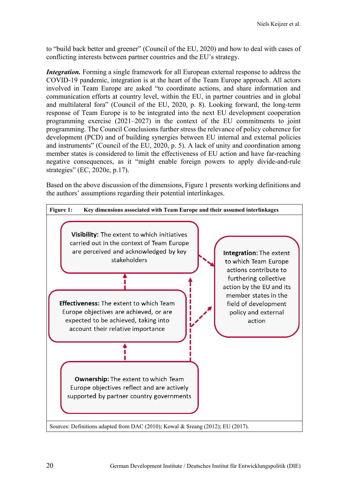to "build back better and greener" (Council of the EU, 2020) and how to deal with cases of conflicting interests between partner countries and the EU's strategy.

*Integration*. Forming a single framework for all European external response to address the COVID-19 pandemic, integration is at the heart of the Team Europe approach. All actors involved in Team Europe are asked "to coordinate actions, and share information and communication efforts at country level, within the EU, in partner countries and in global and multilateral fora" (Council of the EU, 2020, p. 8). Looking forward, the long-term response of Team Europe is to be integrated into the next EU development cooperation programming exercise (2021–2027) in the context of the EU commitments to joint programming. The Council Conclusions further stress the relevance of policy coherence for development (PCD) and of building synergies between EU internal and external policies and instruments" (Council of the EU, 2020, p. 5). A lack of unity and coordination among member states is considered to limit the effectiveness of EU action and have far-reaching negative consequences, as it "might enable foreign powers to apply divide-and-rule strategies" (EC, 2020e, p.17).

Based on the above discussion of the dimensions, Figure 1 presents working definitions and the authors' assumptions regarding their potential interlinkages.

<span id="page-26-0"></span>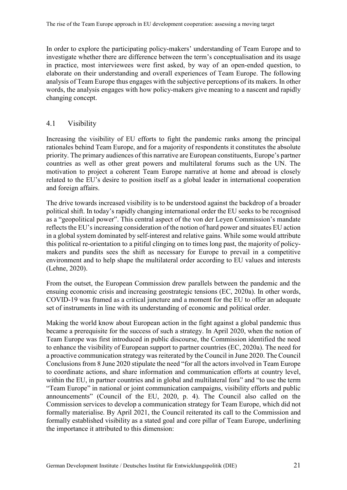In order to explore the participating policy-makers' understanding of Team Europe and to investigate whether there are difference between the term's conceptualisation and its usage in practice, most interviewees were first asked, by way of an open-ended question, to elaborate on their understanding and overall experiences of Team Europe. The following analysis of Team Europe thus engages with the subjective perceptions of its makers. In other words, the analysis engages with how policy-makers give meaning to a nascent and rapidly changing concept.

### <span id="page-27-0"></span>4.1 Visibility

Increasing the visibility of EU efforts to fight the pandemic ranks among the principal rationales behind Team Europe, and for a majority of respondents it constitutes the absolute priority. The primary audiences of this narrative are European constituents, Europe's partner countries as well as other great powers and multilateral forums such as the UN. The motivation to project a coherent Team Europe narrative at home and abroad is closely related to the EU's desire to position itself as a global leader in international cooperation and foreign affairs.

The drive towards increased visibility is to be understood against the backdrop of a broader political shift. In today's rapidly changing international order the EU seeks to be recognised as a "geopolitical power". This central aspect of the von der Leyen Commission's mandate reflects the EU's increasing consideration of the notion of hard power and situates EU action in a global system dominated by self-interest and relative gains. While some would attribute this political re-orientation to a pitiful clinging on to times long past, the majority of policymakers and pundits sees the shift as necessary for Europe to prevail in a competitive environment and to help shape the multilateral order according to EU values and interests (Lehne, 2020).

From the outset, the European Commission drew parallels between the pandemic and the ensuing economic crisis and increasing geostrategic tensions (EC, 2020a). In other words, COVID-19 was framed as a critical juncture and a moment for the EU to offer an adequate set of instruments in line with its understanding of economic and political order.

Making the world know about European action in the fight against a global pandemic thus became a prerequisite for the success of such a strategy. In April 2020, when the notion of Team Europe was first introduced in public discourse, the Commission identified the need to enhance the visibility of European support to partner countries (EC, 2020a). The need for a proactive communication strategy was reiterated by the Council in June 2020. The Council Conclusions from 8 June 2020 stipulate the need "for all the actors involved in Team Europe to coordinate actions, and share information and communication efforts at country level, within the EU, in partner countries and in global and multilateral fora" and "to use the term "Team Europe" in national or joint communication campaigns, visibility efforts and public announcements" (Council of the EU, 2020, p. 4). The Council also called on the Commission services to develop a communication strategy for Team Europe, which did not formally materialise. By April 2021, the Council reiterated its call to the Commission and formally established visibility as a stated goal and core pillar of Team Europe, underlining the importance it attributed to this dimension: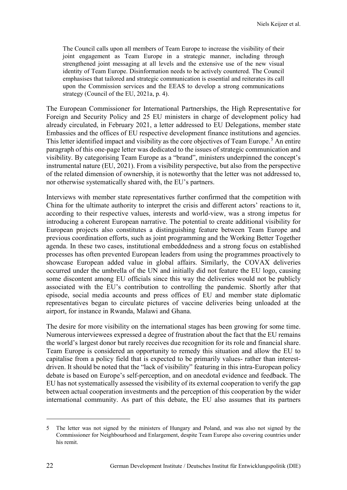The Council calls upon all members of Team Europe to increase the visibility of their joint engagement as Team Europe in a strategic manner, including through strengthened joint messaging at all levels and the extensive use of the new visual identity of Team Europe. Disinformation needs to be actively countered. The Council emphasises that tailored and strategic communication is essential and reiterates its call upon the Commission services and the EEAS to develop a strong communications strategy (Council of the EU, 2021a, p. 4).

The European Commissioner for International Partnerships, the High Representative for Foreign and Security Policy and 25 EU ministers in charge of development policy had already circulated, in February 2021, a letter addressed to EU Delegations, member state Embassies and the offices of EU respective development finance institutions and agencies. This letter identified impact and visibility as the core objectives of Team Europe.<sup>[5](#page-28-0)</sup> An entire paragraph of this one-page letter was dedicated to the issues of strategic communication and visibility. By categorising Team Europe as a "brand", ministers underpinned the concept's instrumental nature (EU, 2021). From a visibility perspective, but also from the perspective of the related dimension of ownership, it is noteworthy that the letter was not addressed to, nor otherwise systematically shared with, the EU's partners.

Interviews with member state representatives further confirmed that the competition with China for the ultimate authority to interpret the crisis and different actors' reactions to it, according to their respective values, interests and world-view, was a strong impetus for introducing a coherent European narrative. The potential to create additional visibility for European projects also constitutes a distinguishing feature between Team Europe and previous coordination efforts, such as joint programming and the Working Better Together agenda. In these two cases, institutional embeddedness and a strong focus on established processes has often prevented European leaders from using the programmes proactively to showcase European added value in global affairs. Similarly, the COVAX deliveries occurred under the umbrella of the UN and initially did not feature the EU logo, causing some discontent among EU officials since this way the deliveries would not be publicly associated with the EU's contribution to controlling the pandemic. Shortly after that episode, social media accounts and press offices of EU and member state diplomatic representatives began to circulate pictures of vaccine deliveries being unloaded at the airport, for instance in Rwanda, Malawi and Ghana.

The desire for more visibility on the international stages has been growing for some time. Numerous interviewees expressed a degree of frustration about the fact that the EU remains the world's largest donor but rarely receives due recognition for its role and financial share. Team Europe is considered an opportunity to remedy this situation and allow the EU to capitalise from a policy field that is expected to be primarily values- rather than interestdriven. It should be noted that the "lack of visibility" featuring in this intra-European policy debate is based on Europe's self-perception, and on anecdotal evidence and feedback. The EU has not systematically assessed the visibility of its external cooperation to verify the gap between actual cooperation investments and the perception of this cooperation by the wider international community. As part of this debate, the EU also assumes that its partners

 $\overline{a}$ 

<span id="page-28-0"></span><sup>5</sup> The letter was not signed by the ministers of Hungary and Poland, and was also not signed by the Commissioner for Neighbourhood and Enlargement, despite Team Europe also covering countries under his remit.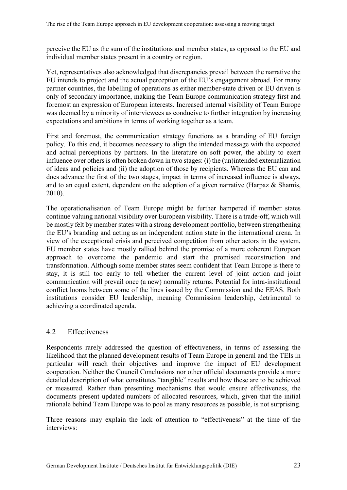perceive the EU as the sum of the institutions and member states, as opposed to the EU and individual member states present in a country or region.

Yet, representatives also acknowledged that discrepancies prevail between the narrative the EU intends to project and the actual perception of the EU's engagement abroad. For many partner countries, the labelling of operations as either member-state driven or EU driven is only of secondary importance, making the Team Europe communication strategy first and foremost an expression of European interests. Increased internal visibility of Team Europe was deemed by a minority of interviewees as conducive to further integration by increasing expectations and ambitions in terms of working together as a team.

First and foremost, the communication strategy functions as a branding of EU foreign policy. To this end, it becomes necessary to align the intended message with the expected and actual perceptions by partners. In the literature on soft power, the ability to exert influence over others is often broken down in two stages: (i) the (un)intended externalization of ideas and policies and (ii) the adoption of those by recipients. Whereas the EU can and does advance the first of the two stages, impact in terms of increased influence is always, and to an equal extent, dependent on the adoption of a given narrative (Harpaz & Shamis, 2010).

The operationalisation of Team Europe might be further hampered if member states continue valuing national visibility over European visibility. There is a trade-off, which will be mostly felt by member states with a strong development portfolio, between strengthening the EU's branding and acting as an independent nation state in the international arena. In view of the exceptional crisis and perceived competition from other actors in the system, EU member states have mostly rallied behind the promise of a more coherent European approach to overcome the pandemic and start the promised reconstruction and transformation. Although some member states seem confident that Team Europe is there to stay, it is still too early to tell whether the current level of joint action and joint communication will prevail once (a new) normality returns. Potential for intra-institutional conflict looms between some of the lines issued by the Commission and the EEAS. Both institutions consider EU leadership, meaning Commission leadership, detrimental to achieving a coordinated agenda.

### <span id="page-29-0"></span>4.2 Effectiveness

Respondents rarely addressed the question of effectiveness, in terms of assessing the likelihood that the planned development results of Team Europe in general and the TEIs in particular will reach their objectives and improve the impact of EU development cooperation. Neither the Council Conclusions nor other official documents provide a more detailed description of what constitutes "tangible" results and how these are to be achieved or measured. Rather than presenting mechanisms that would ensure effectiveness, the documents present updated numbers of allocated resources, which, given that the initial rationale behind Team Europe was to pool as many resources as possible, is not surprising.

Three reasons may explain the lack of attention to "effectiveness" at the time of the interviews: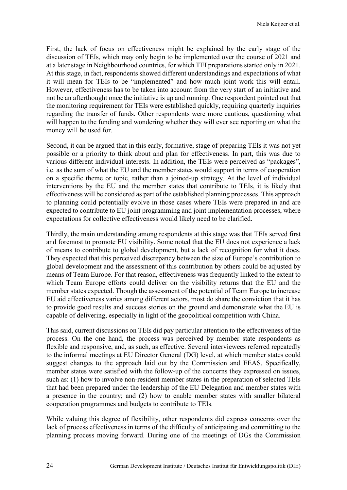First, the lack of focus on effectiveness might be explained by the early stage of the discussion of TEIs, which may only begin to be implemented over the course of 2021 and at a later stage in Neighbourhood countries, for which TEI preparations started only in 2021. At this stage, in fact, respondents showed different understandings and expectations of what it will mean for TEIs to be "implemented" and how much joint work this will entail. However, effectiveness has to be taken into account from the very start of an initiative and not be an afterthought once the initiative is up and running. One respondent pointed out that the monitoring requirement for TEIs were established quickly, requiring quarterly inquiries regarding the transfer of funds. Other respondents were more cautious, questioning what will happen to the funding and wondering whether they will ever see reporting on what the money will be used for.

Second, it can be argued that in this early, formative, stage of preparing TEIs it was not yet possible or a priority to think about and plan for effectiveness. In part, this was due to various different individual interests. In addition, the TEIs were perceived as "packages", i.e. as the sum of what the EU and the member states would support in terms of cooperation on a specific theme or topic, rather than a joined-up strategy. At the level of individual interventions by the EU and the member states that contribute to TEIs, it is likely that effectiveness will be considered as part of the established planning processes. This approach to planning could potentially evolve in those cases where TEIs were prepared in and are expected to contribute to EU joint programming and joint implementation processes, where expectations for collective effectiveness would likely need to be clarified.

Thirdly, the main understanding among respondents at this stage was that TEIs served first and foremost to promote EU visibility. Some noted that the EU does not experience a lack of means to contribute to global development, but a lack of recognition for what it does. They expected that this perceived discrepancy between the size of Europe's contribution to global development and the assessment of this contribution by others could be adjusted by means of Team Europe. For that reason, effectiveness was frequently linked to the extent to which Team Europe efforts could deliver on the visibility returns that the EU and the member states expected. Though the assessment of the potential of Team Europe to increase EU aid effectiveness varies among different actors, most do share the conviction that it has to provide good results and success stories on the ground and demonstrate what the EU is capable of delivering, especially in light of the geopolitical competition with China.

This said, current discussions on TEIs did pay particular attention to the effectiveness of the process. On the one hand, the process was perceived by member state respondents as flexible and responsive, and, as such, as effective. Several interviewees referred repeatedly to the informal meetings at EU Director General (DG) level, at which member states could suggest changes to the approach laid out by the Commission and EEAS. Specifically, member states were satisfied with the follow-up of the concerns they expressed on issues, such as: (1) how to involve non-resident member states in the preparation of selected TEIs that had been prepared under the leadership of the EU Delegation and member states with a presence in the country; and (2) how to enable member states with smaller bilateral cooperation programmes and budgets to contribute to TEIs.

While valuing this degree of flexibility, other respondents did express concerns over the lack of process effectiveness in terms of the difficulty of anticipating and committing to the planning process moving forward. During one of the meetings of DGs the Commission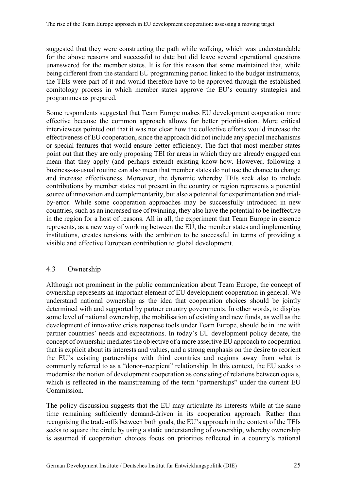suggested that they were constructing the path while walking, which was understandable for the above reasons and successful to date but did leave several operational questions unanswered for the member states. It is for this reason that some maintained that, while being different from the standard EU programming period linked to the budget instruments, the TEIs were part of it and would therefore have to be approved through the established comitology process in which member states approve the EU's country strategies and programmes as prepared.

Some respondents suggested that Team Europe makes EU development cooperation more effective because the common approach allows for better prioritisation. More critical interviewees pointed out that it was not clear how the collective efforts would increase the effectiveness of EU cooperation, since the approach did not include any special mechanisms or special features that would ensure better efficiency. The fact that most member states point out that they are only proposing TEI for areas in which they are already engaged can mean that they apply (and perhaps extend) existing know-how. However, following a business-as-usual routine can also mean that member states do not use the chance to change and increase effectiveness. Moreover, the dynamic whereby TEIs seek also to include contributions by member states not present in the country or region represents a potential source of innovation and complementarity, but also a potential for experimentation and trialby-error. While some cooperation approaches may be successfully introduced in new countries, such as an increased use of twinning, they also have the potential to be ineffective in the region for a host of reasons. All in all, the experiment that Team Europe in essence represents, as a new way of working between the EU, the member states and implementing institutions, creates tensions with the ambition to be successful in terms of providing a visible and effective European contribution to global development.

#### <span id="page-31-0"></span>4.3 Ownership

Although not prominent in the public communication about Team Europe, the concept of ownership represents an important element of EU development cooperation in general. We understand national ownership as the idea that cooperation choices should be jointly determined with and supported by partner country governments. In other words, to display some level of national ownership, the mobilisation of existing and new funds, as well as the development of innovative crisis response tools under Team Europe, should be in line with partner countries' needs and expectations. In today's EU development policy debate, the concept of ownership mediates the objective of a more assertive EU approach to cooperation that is explicit about its interests and values, and a strong emphasis on the desire to reorient the EU's existing partnerships with third countries and regions away from what is commonly referred to as a "donor–recipient" relationship. In this context, the EU seeks to modernise the notion of development cooperation as consisting of relations between equals, which is reflected in the mainstreaming of the term "partnerships" under the current EU Commission.

The policy discussion suggests that the EU may articulate its interests while at the same time remaining sufficiently demand-driven in its cooperation approach. Rather than recognising the trade-offs between both goals, the EU's approach in the context of the TEIs seeks to square the circle by using a static understanding of ownership, whereby ownership is assumed if cooperation choices focus on priorities reflected in a country's national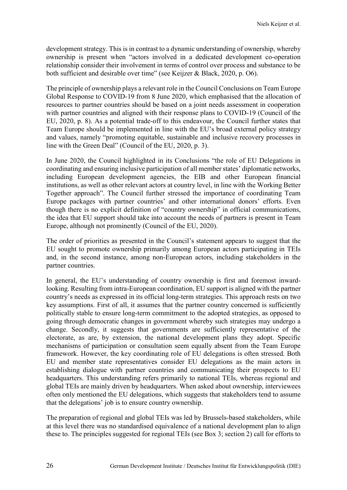development strategy. This is in contrast to a dynamic understanding of ownership, whereby ownership is present when "actors involved in a dedicated development co-operation relationship consider their involvement in terms of control over process and substance to be both sufficient and desirable over time" (see Keijzer & Black, 2020, p. O6).

The principle of ownership plays a relevant role in the Council Conclusions on Team Europe Global Response to COVID-19 from 8 June 2020, which emphasised that the allocation of resources to partner countries should be based on a joint needs assessment in cooperation with partner countries and aligned with their response plans to COVID-19 (Council of the EU, 2020, p. 8). As a potential trade-off to this endeavour, the Council further states that Team Europe should be implemented in line with the EU's broad external policy strategy and values, namely "promoting equitable, sustainable and inclusive recovery processes in line with the Green Deal" (Council of the EU, 2020, p. 3).

In June 2020, the Council highlighted in its Conclusions "the role of EU Delegations in coordinating and ensuring inclusive participation of all member states' diplomatic networks, including European development agencies, the EIB and other European financial institutions, as well as other relevant actors at country level, in line with the Working Better Together approach". The Council further stressed the importance of coordinating Team Europe packages with partner countries' and other international donors' efforts. Even though there is no explicit definition of "country ownership" in official communications, the idea that EU support should take into account the needs of partners is present in Team Europe, although not prominently (Council of the EU, 2020).

The order of priorities as presented in the Council's statement appears to suggest that the EU sought to promote ownership primarily among European actors participating in TEIs and, in the second instance, among non-European actors, including stakeholders in the partner countries.

In general, the EU's understanding of country ownership is first and foremost inwardlooking. Resulting from intra-European coordination, EU support is aligned with the partner country's needs as expressed in its official long-term strategies. This approach rests on two key assumptions. First of all, it assumes that the partner country concerned is sufficiently politically stable to ensure long-term commitment to the adopted strategies, as opposed to going through democratic changes in government whereby such strategies may undergo a change. Secondly, it suggests that governments are sufficiently representative of the electorate, as are, by extension, the national development plans they adopt. Specific mechanisms of participation or consultation seem equally absent from the Team Europe framework. However, the key coordinating role of EU delegations is often stressed. Both EU and member state representatives consider EU delegations as the main actors in establishing dialogue with partner countries and communicating their prospects to EU headquarters. This understanding refers primarily to national TEIs, whereas regional and global TEIs are mainly driven by headquarters. When asked about ownership, interviewees often only mentioned the EU delegations, which suggests that stakeholders tend to assume that the delegations' job is to ensure country ownership.

The preparation of regional and global TEIs was led by Brussels-based stakeholders, while at this level there was no standardised equivalence of a national development plan to align these to. The principles suggested for regional TEIs (see Box 3; section 2) call for efforts to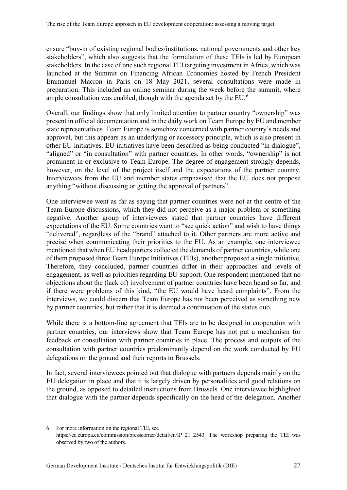ensure "buy-in of existing regional bodies/institutions, national governments and other key stakeholders", which also suggests that the formulation of these TEIs is led by European stakeholders. In the case of one such regional TEI targeting investment in Africa, which was launched at the Summit on Financing African Economies hosted by French President Emmanuel Macron in Paris on 18 May 2021, several consultations were made in preparation. This included an online seminar during the week before the summit, where ample consultation was enabled, though with the agenda set by the EU.<sup>[6](#page-33-0)</sup>

Overall, our findings show that only limited attention to partner country "ownership" was present in official documentation and in the daily work on Team Europe by EU and member state representatives. Team Europe is somehow concerned with partner country's needs and approval, but this appears as an underlying or accessory principle, which is also present in other EU initiatives. EU initiatives have been described as being conducted "in dialogue", "aligned" or "in consultation" with partner countries. In other words, "ownership" is not prominent in or exclusive to Team Europe. The degree of engagement strongly depends, however, on the level of the project itself and the expectations of the partner country. Interviewees from the EU and member states emphasised that the EU does not propose anything "without discussing or getting the approval of partners".

One interviewee went as far as saying that partner countries were not at the centre of the Team Europe discussions, which they did not perceive as a major problem or something negative. Another group of interviewees stated that partner countries have different expectations of the EU. Some countries want to "see quick action" and wish to have things "delivered", regardless of the "brand" attached to it. Other partners are more active and precise when communicating their priorities to the EU. As an example, one interviewee mentioned that when EU headquarters collected the demands of partner countries, while one of them proposed three Team Europe Initiatives (TEIs), another proposed a single initiative. Therefore, they concluded, partner countries differ in their approaches and levels of engagement, as well as priorities regarding EU support. One respondent mentioned that no objections about the (lack of) involvement of partner countries have been heard so far, and if there were problems of this kind, "the EU would have heard complaints". From the interviews, we could discern that Team Europe has not been perceived as something new by partner countries, but rather that it is deemed a continuation of the status quo.

While there is a bottom-line agreement that TEIs are to be designed in cooperation with partner countries, our interviews show that Team Europe has not put a mechanism for feedback or consultation with partner countries in place. The process and outputs of the consultation with partner countries predominantly depend on the work conducted by EU delegations on the ground and their reports to Brussels.

In fact, several interviewees pointed out that dialogue with partners depends mainly on the EU delegation in place and that it is largely driven by personalities and good relations on the ground, as opposed to detailed instructions from Brussels. One interviewee highlighted that dialogue with the partner depends specifically on the head of the delegation. Another

 $\overline{a}$ 

<span id="page-33-0"></span><sup>6</sup> For more information on the regional TEI, see https://ec.europa.eu/commission/presscorner/detail/en/IP\_21\_2543. The workshop preparing the TEI was observed by two of the authors.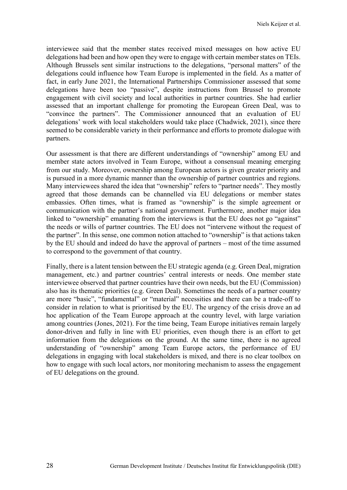interviewee said that the member states received mixed messages on how active EU delegations had been and how open they were to engage with certain member states on TEIs. Although Brussels sent similar instructions to the delegations, "personal matters" of the delegations could influence how Team Europe is implemented in the field. As a matter of fact, in early June 2021, the International Partnerships Commissioner assessed that some delegations have been too "passive", despite instructions from Brussel to promote engagement with civil society and local authorities in partner countries. She had earlier assessed that an important challenge for promoting the European Green Deal, was to "convince the partners". The Commissioner announced that an evaluation of EU delegations' work with local stakeholders would take place (Chadwick, 2021), since there seemed to be considerable variety in their performance and efforts to promote dialogue with partners.

Our assessment is that there are different understandings of "ownership" among EU and member state actors involved in Team Europe, without a consensual meaning emerging from our study. Moreover, ownership among European actors is given greater priority and is pursued in a more dynamic manner than the ownership of partner countries and regions. Many interviewees shared the idea that "ownership" refers to "partner needs". They mostly agreed that those demands can be channelled via EU delegations or member states embassies. Often times, what is framed as "ownership" is the simple agreement or communication with the partner's national government. Furthermore, another major idea linked to "ownership" emanating from the interviews is that the EU does not go "against" the needs or wills of partner countries. The EU does not "intervene without the request of the partner". In this sense, one common notion attached to "ownership" is that actions taken by the EU should and indeed do have the approval of partners – most of the time assumed to correspond to the government of that country.

Finally, there is a latent tension between the EU strategic agenda (e.g. Green Deal, migration management, etc.) and partner countries' central interests or needs. One member state interviewee observed that partner countries have their own needs, but the EU (Commission) also has its thematic priorities (e.g. Green Deal). Sometimes the needs of a partner country are more "basic", "fundamental" or "material" necessities and there can be a trade-off to consider in relation to what is prioritised by the EU. The urgency of the crisis drove an ad hoc application of the Team Europe approach at the country level, with large variation among countries (Jones, 2021). For the time being, Team Europe initiatives remain largely donor-driven and fully in line with EU priorities, even though there is an effort to get information from the delegations on the ground. At the same time, there is no agreed understanding of "ownership" among Team Europe actors, the performance of EU delegations in engaging with local stakeholders is mixed, and there is no clear toolbox on how to engage with such local actors, nor monitoring mechanism to assess the engagement of EU delegations on the ground.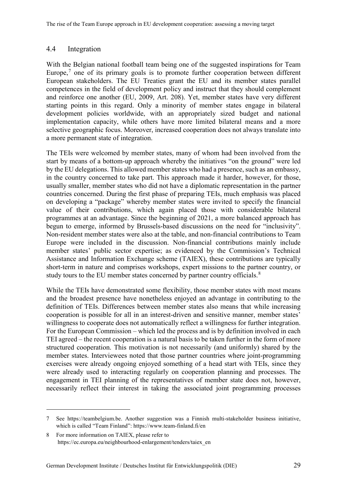#### <span id="page-35-0"></span>4.4 Integration

With the Belgian national football team being one of the suggested inspirations for Team Europe, $<sup>7</sup>$  $<sup>7</sup>$  $<sup>7</sup>$  one of its primary goals is to promote further cooperation between different</sup> European stakeholders. The EU Treaties grant the EU and its member states parallel competences in the field of development policy and instruct that they should complement and reinforce one another (EU, 2009, Art. 208). Yet, member states have very different starting points in this regard. Only a minority of member states engage in bilateral development policies worldwide, with an appropriately sized budget and national implementation capacity, while others have more limited bilateral means and a more selective geographic focus. Moreover, increased cooperation does not always translate into a more permanent state of integration.

The TEIs were welcomed by member states, many of whom had been involved from the start by means of a bottom-up approach whereby the initiatives "on the ground" were led by the EU delegations. This allowed member states who had a presence, such as an embassy, in the country concerned to take part. This approach made it harder, however, for those, usually smaller, member states who did not have a diplomatic representation in the partner countries concerned. During the first phase of preparing TEIs, much emphasis was placed on developing a "package" whereby member states were invited to specify the financial value of their contributions, which again placed those with considerable bilateral programmes at an advantage. Since the beginning of 2021, a more balanced approach has begun to emerge, informed by Brussels-based discussions on the need for "inclusivity". Non-resident member states were also at the table, and non-financial contributions to Team Europe were included in the discussion. Non-financial contributions mainly include member states' public sector expertise; as evidenced by the Commission's Technical Assistance and Information Exchange scheme (TAIEX), these contributions are typically short-term in nature and comprises workshops, expert missions to the partner country, or study tours to the EU member states concerned by partner country officials. $8$ 

While the TEIs have demonstrated some flexibility, those member states with most means and the broadest presence have nonetheless enjoyed an advantage in contributing to the definition of TEIs. Differences between member states also means that while increasing cooperation is possible for all in an interest-driven and sensitive manner, member states' willingness to cooperate does not automatically reflect a willingness for further integration. For the European Commission – which led the process and is by definition involved in each TEI agreed – the recent cooperation is a natural basis to be taken further in the form of more structured cooperation. This motivation is not necessarily (and uniformly) shared by the member states. Interviewees noted that those partner countries where joint-programming exercises were already ongoing enjoyed something of a head start with TEIs, since they were already used to interacting regularly on cooperation planning and processes. The engagement in TEI planning of the representatives of member state does not, however, necessarily reflect their interest in taking the associated joint programming processes

 $\overline{a}$ 

<span id="page-35-1"></span><sup>7</sup> See https://teambelgium.be. Another suggestion was a Finnish multi-stakeholder business initiative, which is called "Team Finland": https://www.team-finland.fi/en

<span id="page-35-2"></span><sup>8</sup> For more information on TAIEX, please refer to [https://ec.europa.eu/neighbourhood-enlargement/tenders/taiex\\_en](https://ec.europa.eu/neighbourhood-enlargement/tenders/taiex_en)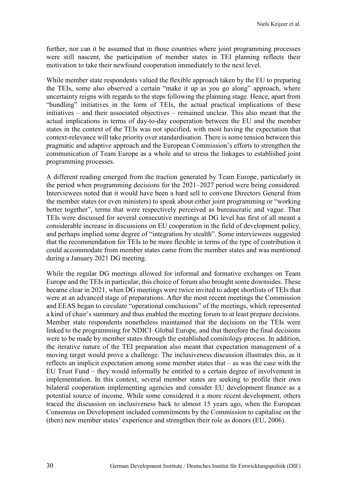further, nor can it be assumed that in those countries where joint programming processes were still nascent, the participation of member states in TEI planning reflects their motivation to take their newfound cooperation immediately to the next level.

While member state respondents valued the flexible approach taken by the EU to preparing the TEIs, some also observed a certain "make it up as you go along" approach, where uncertainty reigns with regards to the steps following the planning stage. Hence, apart from "bundling" initiatives in the form of TEIs, the actual practical implications of these initiatives – and their associated objectives – remained unclear. This also meant that the actual implications in terms of day-to-day cooperation between the EU and the member states in the context of the TEIs was not specified, with most having the expectation that context-relevance will take priority over standardisation. There is some tension between this pragmatic and adaptive approach and the European Commission's efforts to strengthen the communication of Team Europe as a whole and to stress the linkages to established joint programming processes.

A different reading emerged from the traction generated by Team Europe, particularly in the period when programming decisions for the 2021–2027 period were being considered. Interviewees noted that it would have been a hard sell to convene Directors General from the member states (or even ministers) to speak about either joint programming or "working better together", terms that were respectively perceived as bureaucratic and vague. That TEIs were discussed for several consecutive meetings at DG level has first of all meant a considerable increase in discussions on EU cooperation in the field of development policy, and perhaps implied some degree of "integration by stealth". Some interviewees suggested that the recommendation for TEIs to be more flexible in terms of the type of contribution it could accommodate from member states came from the member states and was mentioned during a January 2021 DG meeting.

While the regular DG meetings allowed for informal and formative exchanges on Team Europe and the TEIs in particular, this choice of forum also brought some downsides. These became clear in 2021, when DG meetings were twice invited to adopt shortlists of TEIs that were at an advanced stage of preparations. After the most recent meetings the Commission and EEAS began to circulate "operational conclusions" of the meetings, which represented a kind of chair's summary and thus enabled the meeting forum to at least prepare decisions. Member state respondents nonetheless maintained that the decisions on the TEIs were linked to the programming for NDICI–Global Europe, and that therefore the final decisions were to be made by member states through the established comitology process. In addition, the iterative nature of the TEI preparation also meant that expectation management of a moving target would prove a challenge. The inclusiveness discussion illustrates this, as it reflects an implicit expectation among some member states that – as was the case with the EU Trust Fund – they would informally be entitled to a certain degree of involvement in implementation. In this context, several member states are seeking to profile their own bilateral cooperation implementing agencies and consider EU development finance as a potential source of income. While some considered it a more recent development, others traced the discussion on inclusiveness back to almost 15 years ago, when the European Consensus on Development included commitments by the Commission to capitalise on the (then) new member states' experience and strengthen their role as donors (EU, 2006).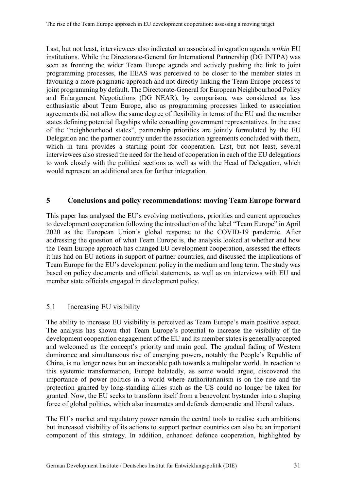Last, but not least, interviewees also indicated an associated integration agenda *within* EU institutions. While the Directorate-General for International Partnership (DG INTPA) was seen as fronting the wider Team Europe agenda and actively pushing the link to joint programming processes, the EEAS was perceived to be closer to the member states in favouring a more pragmatic approach and not directly linking the Team Europe process to joint programming by default. The Directorate-General for European Neighbourhood Policy and Enlargement Negotiations (DG NEAR), by comparison, was considered as less enthusiastic about Team Europe, also as programming processes linked to association agreements did not allow the same degree of flexibility in terms of the EU and the member states defining potential flagships while consulting government representatives. In the case of the "neighbourhood states", partnership priorities are jointly formulated by the EU Delegation and the partner country under the association agreements concluded with them, which in turn provides a starting point for cooperation. Last, but not least, several interviewees also stressed the need for the head of cooperation in each of the EU delegations to work closely with the political sections as well as with the Head of Delegation, which would represent an additional area for further integration.

#### <span id="page-37-0"></span>**5 Conclusions and policy recommendations: moving Team Europe forward**

This paper has analysed the EU's evolving motivations, priorities and current approaches to development cooperation following the introduction of the label "Team Europe" in April 2020 as the European Union's global response to the COVID-19 pandemic. After addressing the question of what Team Europe is, the analysis looked at whether and how the Team Europe approach has changed EU development cooperation, assessed the effects it has had on EU actions in support of partner countries, and discussed the implications of Team Europe for the EU's development policy in the medium and long term. The study was based on policy documents and official statements, as well as on interviews with EU and member state officials engaged in development policy.

#### <span id="page-37-1"></span>5.1 Increasing EU visibility

The ability to increase EU visibility is perceived as Team Europe's main positive aspect. The analysis has shown that Team Europe's potential to increase the visibility of the development cooperation engagement of the EU and its member states is generally accepted and welcomed as the concept's priority and main goal. The gradual fading of Western dominance and simultaneous rise of emerging powers, notably the People's Republic of China, is no longer news but an inexorable path towards a multipolar world. In reaction to this systemic transformation, Europe belatedly, as some would argue, discovered the importance of power politics in a world where authoritarianism is on the rise and the protection granted by long-standing allies such as the US could no longer be taken for granted. Now, the EU seeks to transform itself from a benevolent bystander into a shaping force of global politics, which also incarnates and defends democratic and liberal values.

The EU's market and regulatory power remain the central tools to realise such ambitions, but increased visibility of its actions to support partner countries can also be an important component of this strategy. In addition, enhanced defence cooperation, highlighted by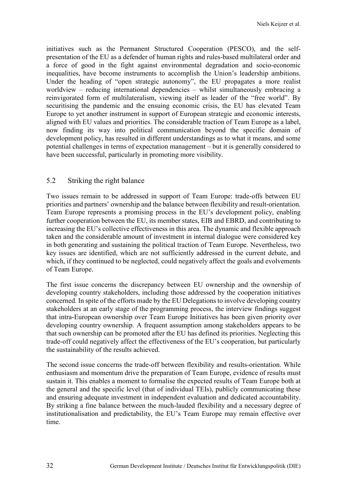initiatives such as the Permanent Structured Cooperation (PESCO), and the selfpresentation of the EU as a defender of human rights and rules-based multilateral order and a force of good in the fight against environmental degradation and socio-economic inequalities, have become instruments to accomplish the Union's leadership ambitions. Under the heading of "open strategic autonomy", the EU propagates a more realist worldview – reducing international dependencies – whilst simultaneously embracing a reinvigorated form of multilateralism, viewing itself as leader of the "free world". By securitising the pandemic and the ensuing economic crisis, the EU has elevated Team Europe to yet another instrument in support of European strategic and economic interests, aligned with EU values and priorities. The considerable traction of Team Europe as a label, now finding its way into political communication beyond the specific domain of development policy, has resulted in different understandings as to what it means, and some potential challenges in terms of expectation management – but it is generally considered to have been successful, particularly in promoting more visibility.

#### <span id="page-38-0"></span>5.2 Striking the right balance

Two issues remain to be addressed in support of Team Europe: trade-offs between EU priorities and partners' ownership and the balance between flexibility and result-orientation. Team Europe represents a promising process in the EU's development policy, enabling further cooperation between the EU, its member states, EIB and EBRD, and contributing to increasing the EU's collective effectiveness in this area. The dynamic and flexible approach taken and the considerable amount of investment in internal dialogue were considered key in both generating and sustaining the political traction of Team Europe. Nevertheless, two key issues are identified, which are not sufficiently addressed in the current debate, and which, if they continued to be neglected, could negatively affect the goals and evolvements of Team Europe.

The first issue concerns the discrepancy between EU ownership and the ownership of developing country stakeholders, including those addressed by the cooperation initiatives concerned. In spite of the efforts made by the EU Delegations to involve developing country stakeholders at an early stage of the programming process, the interview findings suggest that intra-European ownership over Team Europe Initiatives has been given priority over developing country ownership. A frequent assumption among stakeholders appears to be that such ownership can be promoted after the EU has defined its priorities. Neglecting this trade-off could negatively affect the effectiveness of the EU's cooperation, but particularly the sustainability of the results achieved.

The second issue concerns the trade-off between flexibility and results-orientation. While enthusiasm and momentum drive the preparation of Team Europe, evidence of results must sustain it. This enables a moment to formalise the expected results of Team Europe both at the general and the specific level (that of individual TEIs), publicly communicating these and ensuring adequate investment in independent evaluation and dedicated accountability. By striking a fine balance between the much-lauded flexibility and a necessary degree of institutionalisation and predictability, the EU's Team Europe may remain effective over time.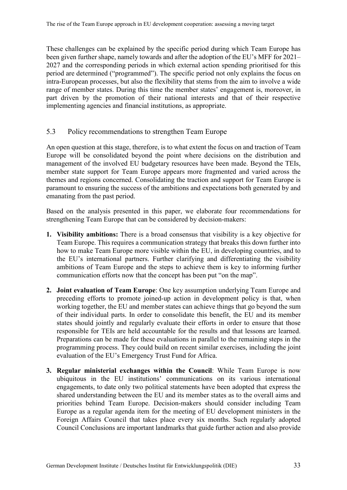These challenges can be explained by the specific period during which Team Europe has been given further shape, namely towards and after the adoption of the EU's MFF for 2021– 2027 and the corresponding periods in which external action spending prioritised for this period are determined ("programmed"). The specific period not only explains the focus on intra-European processes, but also the flexibility that stems from the aim to involve a wide range of member states. During this time the member states' engagement is, moreover, in part driven by the promotion of their national interests and that of their respective implementing agencies and financial institutions, as appropriate.

#### <span id="page-39-0"></span>5.3 Policy recommendations to strengthen Team Europe

An open question at this stage, therefore, is to what extent the focus on and traction of Team Europe will be consolidated beyond the point where decisions on the distribution and management of the involved EU budgetary resources have been made. Beyond the TEIs, member state support for Team Europe appears more fragmented and varied across the themes and regions concerned. Consolidating the traction and support for Team Europe is paramount to ensuring the success of the ambitions and expectations both generated by and emanating from the past period.

Based on the analysis presented in this paper, we elaborate four recommendations for strengthening Team Europe that can be considered by decision-makers:

- **1. Visibility ambitions:** There is a broad consensus that visibility is a key objective for Team Europe. This requires a communication strategy that breaks this down further into how to make Team Europe more visible within the EU, in developing countries, and to the EU's international partners. Further clarifying and differentiating the visibility ambitions of Team Europe and the steps to achieve them is key to informing further communication efforts now that the concept has been put "on the map".
- **2. Joint evaluation of Team Europe**: One key assumption underlying Team Europe and preceding efforts to promote joined-up action in development policy is that, when working together, the EU and member states can achieve things that go beyond the sum of their individual parts. In order to consolidate this benefit, the EU and its member states should jointly and regularly evaluate their efforts in order to ensure that those responsible for TEIs are held accountable for the results and that lessons are learned. Preparations can be made for these evaluations in parallel to the remaining steps in the programming process. They could build on recent similar exercises, including the joint evaluation of the EU's Emergency Trust Fund for Africa.
- **3. Regular ministerial exchanges within the Council**: While Team Europe is now ubiquitous in the EU institutions' communications on its various international engagements, to date only two political statements have been adopted that express the shared understanding between the EU and its member states as to the overall aims and priorities behind Team Europe. Decision-makers should consider including Team Europe as a regular agenda item for the meeting of EU development ministers in the Foreign Affairs Council that takes place every six months. Such regularly adopted Council Conclusions are important landmarks that guide further action and also provide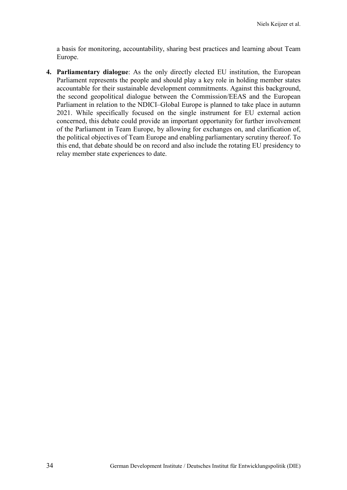a basis for monitoring, accountability, sharing best practices and learning about Team Europe.

**4. Parliamentary dialogue**: As the only directly elected EU institution, the European Parliament represents the people and should play a key role in holding member states accountable for their sustainable development commitments. Against this background, the second geopolitical dialogue between the Commission/EEAS and the European Parliament in relation to the NDICI–Global Europe is planned to take place in autumn 2021. While specifically focused on the single instrument for EU external action concerned, this debate could provide an important opportunity for further involvement of the Parliament in Team Europe, by allowing for exchanges on, and clarification of, the political objectives of Team Europe and enabling parliamentary scrutiny thereof. To this end, that debate should be on record and also include the rotating EU presidency to relay member state experiences to date.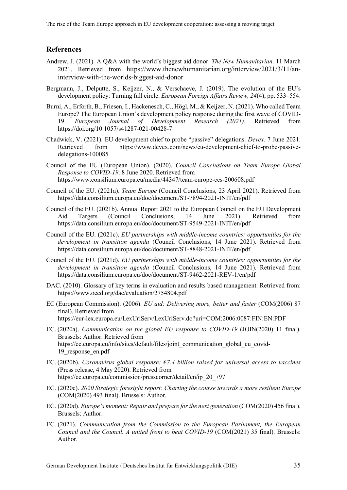#### <span id="page-41-0"></span>**References**

- Andrew, J. (2021). A Q&A with the world's biggest aid donor. *The New Humanitarian*. 11 March 2021. Retrieved from https://www.thenewhumanitarian.org/interview/2021/3/11/aninterview-with-the-worlds-biggest-aid-donor
- Bergmann, J., Delputte, S., Keijzer, N., & Verschaeve, J. (2019). The evolution of the EU's development policy: Turning full circle. *European Foreign Affairs Review, 24*(4), pp. 533–554.
- Burni, A., Erforth, B., Friesen, I., Hackenesch, C., Högl, M., & Keijzer, N. (2021). Who called Team Europe? The European Union's development policy response during the first wave of COVID-19. *European Journal of Development Research (2021)*. Retrieved from https://doi.org/10.1057/s41287-021-00428-7
- Chadwick, V. (2021). EU development chief to probe "passive" delegations. *Devex.* 7 June 2021. Retrieved from https://www.devex.com/news/eu-development-chief-to-probe-passivedelegations-100085
- Council of the EU (European Union). (2020). *Council Conclusions on Team Europe Global Response to COVID-19*. 8 June 2020. Retrieved from https://www.consilium.europa.eu/media/44347/team-europe-ccs-200608.pdf
- Council of the EU. (2021a). *Team Europe* (Council Conclusions, 23 April 2021). Retrieved from https://data.consilium.europa.eu/doc/document/ST-7894-2021-INIT/en/pdf
- Council of the EU. (2021b). Annual Report 2021 to the European Council on the EU Development Aid Targets (Council Conclusions, 14 June 2021). Retrieved from https://data.consilium.europa.eu/doc/document/ST-9549-2021-INIT/en/pdf
- Council of the EU. (2021c). *EU partnerships with middle-income countries: opportunities for the development in transition agenda* (Council Conclusions, 14 June 2021). Retrieved from https://data.consilium.europa.eu/doc/document/ST-8848-2021-INIT/en/pdf
- Council of the EU. (2021d). *EU partnerships with middle-income countries: opportunities for the development in transition agenda* (Council Conclusions, 14 June 2021). Retrieved from https://data.consilium.europa.eu/doc/document/ST-9462-2021-REV-1/en/pdf
- DAC. (2010). Glossary of key terms in evaluation and results based management. Retrieved from: https://www.oecd.org/dac/evaluation/2754804.pdf
- EC (European Commission). (2006). *EU aid: Delivering more, better and faster* (COM(2006) 87 final). Retrieved from https://eur-lex.europa.eu/LexUriServ/LexUriServ.do?uri=COM:2006:0087:FIN:EN:PDF
- EC. (2020a). *Communication on the global EU response to COVID-19* (JOIN(2020) 11 final). Brussels: Author. Retrieved from https://ec.europa.eu/info/sites/default/files/joint\_communication\_global\_eu\_covid-19\_response\_en.pdf
- EC. (2020b). *Coronavirus global response: €7.4 billion raised for universal access to vaccines* (Press release, 4 May 2020). Retrieved from https://ec.europa.eu/commission/presscorner/detail/en/ip\_20\_797
- EC. (2020c). *2020 Strategic foresight report: Charting the course towards a more resilient Europe* (COM(2020) 493 final). Brussels: Author.
- EC. (2020d). *Europe's moment: Repair and prepare for the next generation* (COM(2020) 456 final). Brussels: Author.
- EC. (2021). *Communication from the Commission to the European Parliament, the European Council and the Council. A united front to beat COVID-19* (COM(2021) 35 final). Brussels: Author.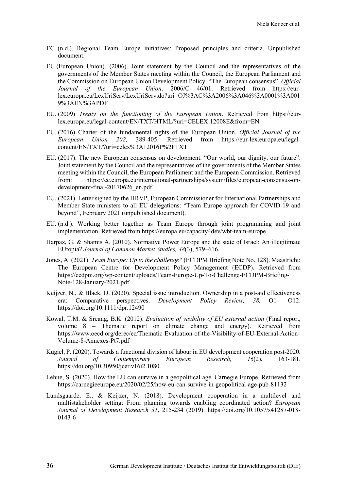- EC. (n.d.). Regional Team Europe initiatives: Proposed principles and criteria. Unpublished document.
- EU (European Union). (2006). Joint statement by the Council and the representatives of the governments of the Member States meeting within the Council, the European Parliament and the Commission on European Union Development Policy: "The European consensus". *Official Journal of the European Union*. 2006/C 46/01. Retrieved from https://eurlex.europa.eu/LexUriServ/LexUriServ.do?uri=OJ%3AC%3A2006%3A046%3A0001%3A001 9%3AEN%3APDF
- EU. (2009) *Treaty on the functioning of the European Union*. Retrieved from https://eurlex.europa.eu/legal-content/EN/TXT/HTML/?uri=CELEX:12008E&from=EN
- EU. (2016) Charter of the fundamental rights of the European Union. *Official Journal of the European Union 202,* 389-405. Retrieved from https://eur-lex.europa.eu/legalcontent/EN/TXT/?uri=celex%3A12016P%2FTXT
- EU. (2017). The new European consensus on development. "Our world, our dignity, our future". Joint statement by the Council and the representatives of the governments of the Member States meeting within the Council, the European Parliament and the European Commission. Retrieved from: https://ec.europa.eu/international-partnerships/system/files/european-consensus-ondevelopment-final-20170626\_en.pdf
- EU. (2021). Letter signed by the HRVP, European Commissioner for International Partnerships and Member State ministers to all EU delegations: "Team Europe approach for COVID-19 and beyond", February 2021 (unpublished document).
- EU. (n.d.). Working better together as Team Europe through joint programming and joint implementation. Retrieved from https://europa.eu/capacity4dev/wbt-team-europe
- Harpaz, G. & Shamis A. (2010). Normative Power Europe and the state of Israel: An illegitimate EUtopia? *Journal of Common Market Studies, 48*(3), 579–616.
- Jones, A. (2021). *Team Europe: Up to the challenge?* (ECDPM Briefing Note No. 128). Maastricht: The European Centre for Development Policy Management (ECDP). Retrieved from https://ecdpm.org/wp-content/uploads/Team-Europe-Up-To-Challenge-ECDPM-Briefing-Note-128-January-2021.pdf
- Keijzer, N., & Black, D. (2020). Special issue introduction. Ownership in a post-aid effectiveness era: Comparative perspectives. *Development Policy Review, 38,* O1– O12. https://doi.org/10.1111/dpr.12490
- Kowal, T.M. & Sreang, B.K. (2012). *Evaluation of visibility of EU external action* (Final report, volume 8 – Thematic report on climate change and energy). Retrieved from https://www.oecd.org/derec/ec/Thematic-Evaluation-of-the-Visibility-of-EU-External-Action-Volume-8-Annexes-Pt7.pdf
- Kugiel, P. (2020). Towards a functional division of labour in EU development cooperation post-2020. *Journal of Contemporary European Research, 16*(2), 163-181. https://doi.org/10.30950/jcer.v16i2.1080.
- Lehne, S. (2020). How the EU can survive in a geopolitical age*.* Carnegie Europe. Retrieved from https://carnegieeurope.eu/2020/02/25/how-eu-can-survive-in-geopolitical-age-pub-81132
- Lundsgaarde, E., & Keijzer, N. (2018). Development cooperation in a multilevel and multistakeholder setting: From planning towards enabling coordinated action? *European Journal of Development Research 31*, 215-234 (2019). https://doi.org/10.1057/s41287-018- 0143-6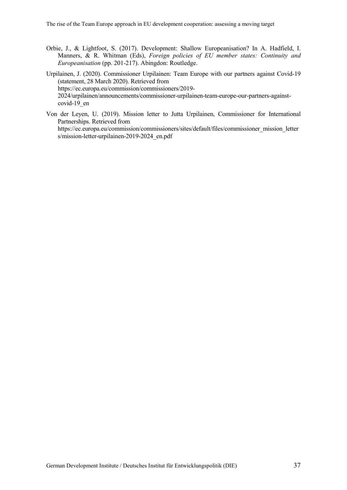Orbie, J., & Lightfoot, S. (2017). Development: Shallow Europeanisation? In A. Hadfield, I. Manners, & R. Whitman (Eds), *Foreign policies of EU member states: Continuity and Europeanisation* (pp. 201-217). Abingdon: Routledge.

Urpilainen, J. (2020). Commissioner Urpilainen: Team Europe with our partners against Covid-19 (statement, 28 March 2020). Retrieved from https://ec.europa.eu/commission/commissioners/2019- 2024/urpilainen/announcements/commissioner-urpilainen-team-europe-our-partners-againstcovid-19\_en

Von der Leyen, U. (2019). Mission letter to Jutta Urpilainen, Commissioner for International Partnerships. Retrieved from https://ec.europa.eu/commission/commissioners/sites/default/files/commissioner\_mission\_letter s/mission-letter-urpilainen-2019-2024\_en.pdf